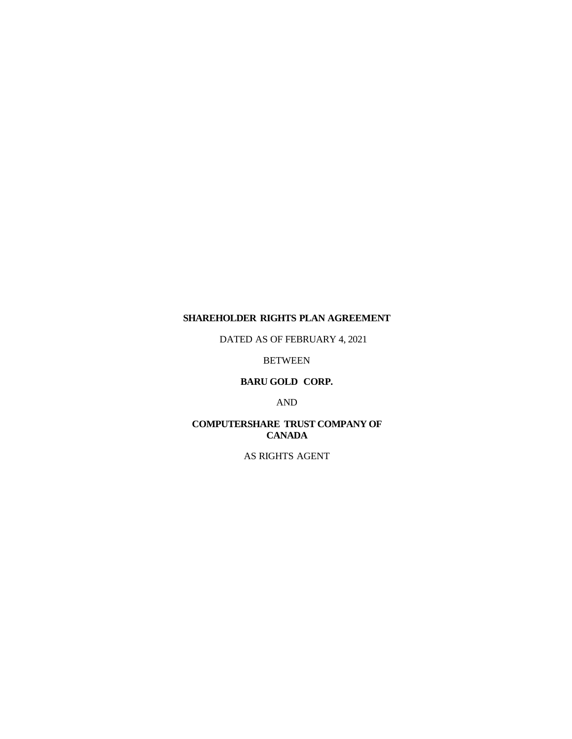## **SHAREHOLDER RIGHTS PLAN AGREEMENT**

DATED AS OF FEBRUARY 4, 2021

BETWEEN

## **BARU GOLD CORP.**

AND

## **COMPUTERSHARE TRUST COMPANY OF CANADA**

AS RIGHTS AGENT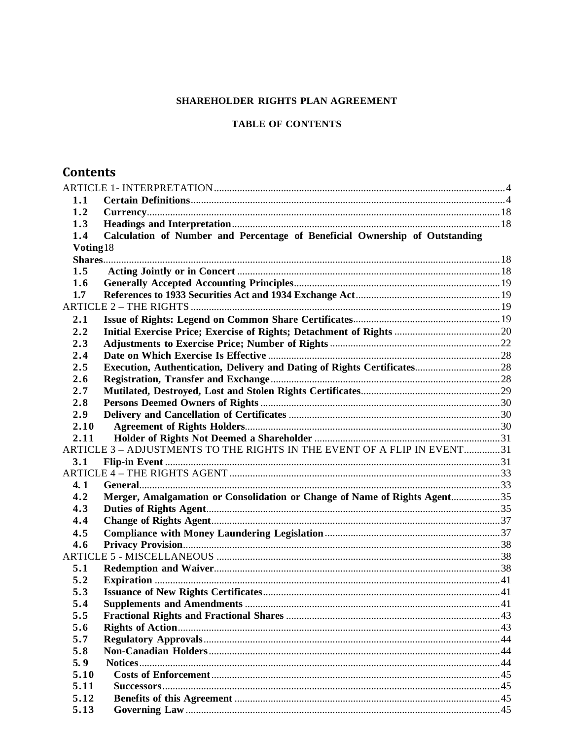## SHAREHOLDER RIGHTS PLAN AGREEMENT

## **TABLE OF CONTENTS**

# **Contents**

| 1.1      |                                                                             |  |
|----------|-----------------------------------------------------------------------------|--|
| 1.2      |                                                                             |  |
| 1.3      |                                                                             |  |
| 1.4      | Calculation of Number and Percentage of Beneficial Ownership of Outstanding |  |
| Voting18 |                                                                             |  |
|          |                                                                             |  |
| 1.5      |                                                                             |  |
| 1.6      |                                                                             |  |
| 1.7      |                                                                             |  |
|          |                                                                             |  |
| 2.1      |                                                                             |  |
| 2.2      |                                                                             |  |
| 2.3      |                                                                             |  |
| 2.4      |                                                                             |  |
| 2.5      |                                                                             |  |
| 2.6      |                                                                             |  |
| 2.7      |                                                                             |  |
| 2.8      |                                                                             |  |
| 2.9      |                                                                             |  |
| 2.10     |                                                                             |  |
| 2.11     |                                                                             |  |
|          | ARTICLE 3 - ADJUSTMENTS TO THE RIGHTS IN THE EVENT OF A FLIP IN EVENT31     |  |
| 3.1      |                                                                             |  |
|          |                                                                             |  |
| 4.1      |                                                                             |  |
| 4.2      | Merger, Amalgamation or Consolidation or Change of Name of Rights Agent35   |  |
| 4.3      |                                                                             |  |
| 4.4      |                                                                             |  |
| 4.5      |                                                                             |  |
| 4.6      |                                                                             |  |
|          |                                                                             |  |
| 5.1      |                                                                             |  |
| 5.2      |                                                                             |  |
| 5.3      |                                                                             |  |
| 5.4      |                                                                             |  |
| 5.5      |                                                                             |  |
| 5.6      |                                                                             |  |
| 5.7      |                                                                             |  |
| 5.8      |                                                                             |  |
| 5.9      |                                                                             |  |
| 5.10     |                                                                             |  |
| 5.11     |                                                                             |  |
| 5.12     |                                                                             |  |
| 5.13     |                                                                             |  |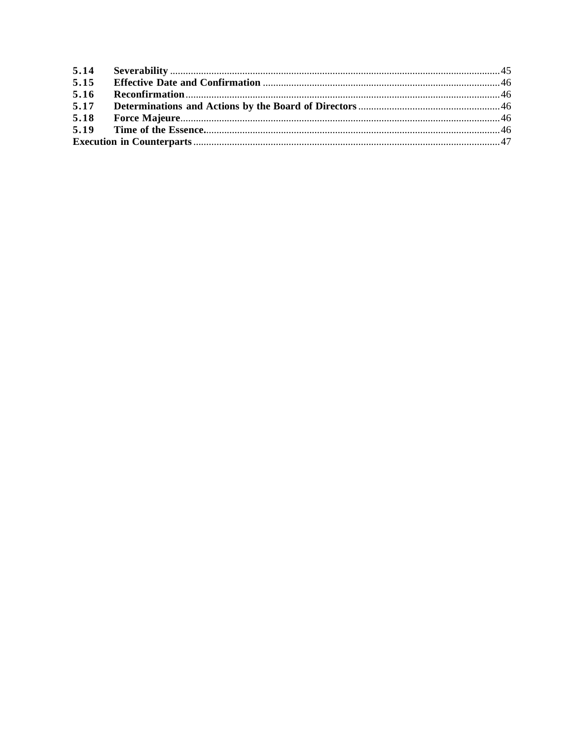| 5.15 |  |  |
|------|--|--|
| 5.16 |  |  |
| 5.17 |  |  |
| 5.18 |  |  |
|      |  |  |
|      |  |  |
|      |  |  |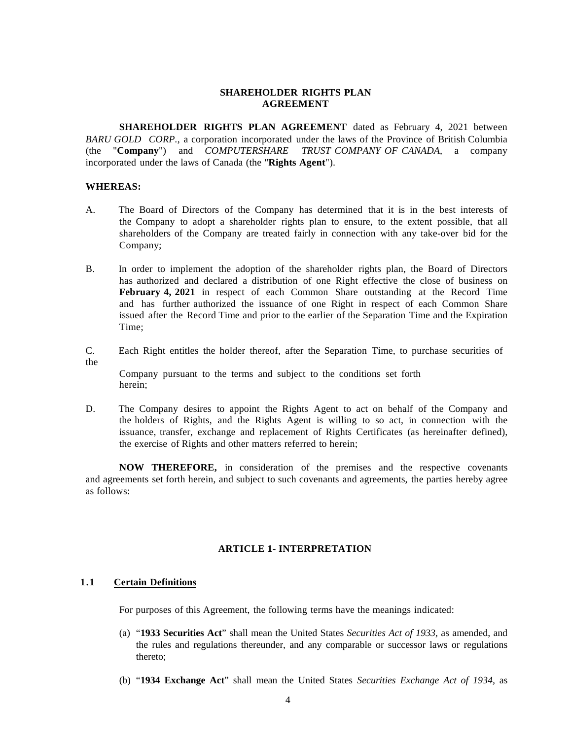## **SHAREHOLDER RIGHTS PLAN AGREEMENT**

**SHAREHOLDER RIGHTS PLAN AGREEMENT** dated as February 4, 2021 between *BARU GOLD CORP.*, a corporation incorporated under the laws of the Province of British Columbia (the "**Company**") and *COMPUTERSHARE TRUST COMPANY OF CANADA*, a company incorporated under the laws of Canada (the "**Rights Agent**").

#### **WHEREAS:**

- A. The Board of Directors of the Company has determined that it is in the best interests of the Company to adopt a shareholder rights plan to ensure, to the extent possible, that all shareholders of the Company are treated fairly in connection with any take-over bid for the Company;
- B. In order to implement the adoption of the shareholder rights plan, the Board of Directors has authorized and declared a distribution of one Right effective the close of business on **February 4, 2021** in respect of each Common Share outstanding at the Record Time and has further authorized the issuance of one Right in respect of each Common Share issued after the Record Time and prior to the earlier of the Separation Time and the Expiration Time;
- C. Each Right entitles the holder thereof, after the Separation Time, to purchase securities of the

Company pursuant to the terms and subject to the conditions set forth herein;

D. The Company desires to appoint the Rights Agent to act on behalf of the Company and the holders of Rights, and the Rights Agent is willing to so act, in connection with the issuance, transfer, exchange and replacement of Rights Certificates (as hereinafter defined), the exercise of Rights and other matters referred to herein;

**NOW THEREFORE,** in consideration of the premises and the respective covenants and agreements set forth herein, and subject to such covenants and agreements, the parties hereby agree as follows:

#### **ARTICLE 1- INTERPRETATION**

#### <span id="page-3-1"></span><span id="page-3-0"></span>**1.1 Certain Definitions**

For purposes of this Agreement, the following terms have the meanings indicated:

- (a) "**1933 Securities Act**" shall mean the United States *Securities Act of 1933,* as amended, and the rules and regulations thereunder, and any comparable or successor laws or regulations thereto;
- (b) "**1934 Exchange Act**" shall mean the United States *Securities Exchange Act of 1934,* as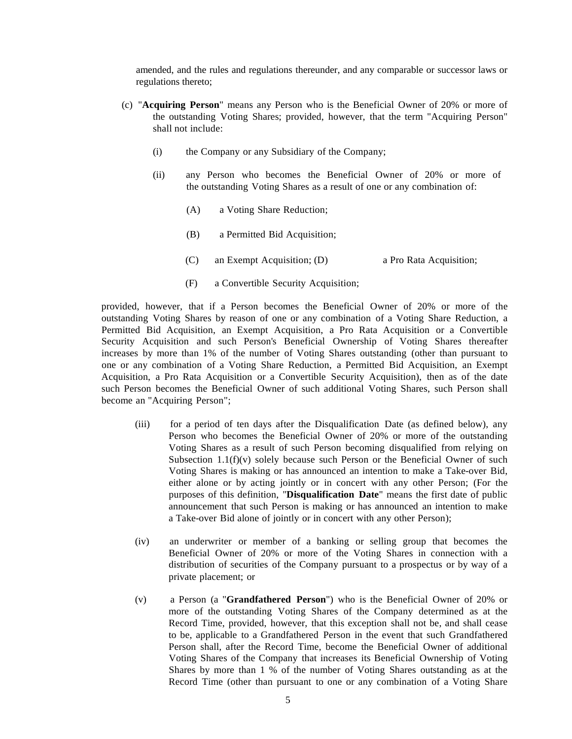amended, and the rules and regulations thereunder, and any comparable or successor laws or regulations thereto;

- (c) "**Acquiring Person**" means any Person who is the Beneficial Owner of 20% or more of the outstanding Voting Shares; provided, however, that the term "Acquiring Person" shall not include:
	- (i) the Company or any Subsidiary of the Company;
	- (ii) any Person who becomes the Beneficial Owner of 20% or more of the outstanding Voting Shares as a result of one or any combination of:
		- (A) a Voting Share Reduction;
		- (B) a Permitted Bid Acquisition;
		- (C) an Exempt Acquisition; (D) a Pro Rata Acquisition;
		- (F) a Convertible Security Acquisition;

provided, however, that if a Person becomes the Beneficial Owner of 20% or more of the outstanding Voting Shares by reason of one or any combination of a Voting Share Reduction, a Permitted Bid Acquisition, an Exempt Acquisition, a Pro Rata Acquisition or a Convertible Security Acquisition and such Person's Beneficial Ownership of Voting Shares thereafter increases by more than 1% of the number of Voting Shares outstanding (other than pursuant to one or any combination of a Voting Share Reduction, a Permitted Bid Acquisition, an Exempt Acquisition, a Pro Rata Acquisition or a Convertible Security Acquisition), then as of the date such Person becomes the Beneficial Owner of such additional Voting Shares, such Person shall become an "Acquiring Person";

- (iii) for a period of ten days after the Disqualification Date (as defined below), any Person who becomes the Beneficial Owner of 20% or more of the outstanding Voting Shares as a result of such Person becoming disqualified from relying on Subsection  $1.1(f)(v)$  solely because such Person or the Beneficial Owner of such Voting Shares is making or has announced an intention to make a Take-over Bid, either alone or by acting jointly or in concert with any other Person; (For the purposes of this definition, "**Disqualification Date**" means the first date of public announcement that such Person is making or has announced an intention to make a Take-over Bid alone of jointly or in concert with any other Person);
- (iv) an underwriter or member of a banking or selling group that becomes the Beneficial Owner of 20% or more of the Voting Shares in connection with a distribution of securities of the Company pursuant to a prospectus or by way of a private placement; or
- (v) a Person (a "**Grandfathered Person**") who is the Beneficial Owner of 20% or more of the outstanding Voting Shares of the Company determined as at the Record Time, provided, however, that this exception shall not be, and shall cease to be, applicable to a Grandfathered Person in the event that such Grandfathered Person shall, after the Record Time, become the Beneficial Owner of additional Voting Shares of the Company that increases its Beneficial Ownership of Voting Shares by more than 1 % of the number of Voting Shares outstanding as at the Record Time (other than pursuant to one or any combination of a Voting Share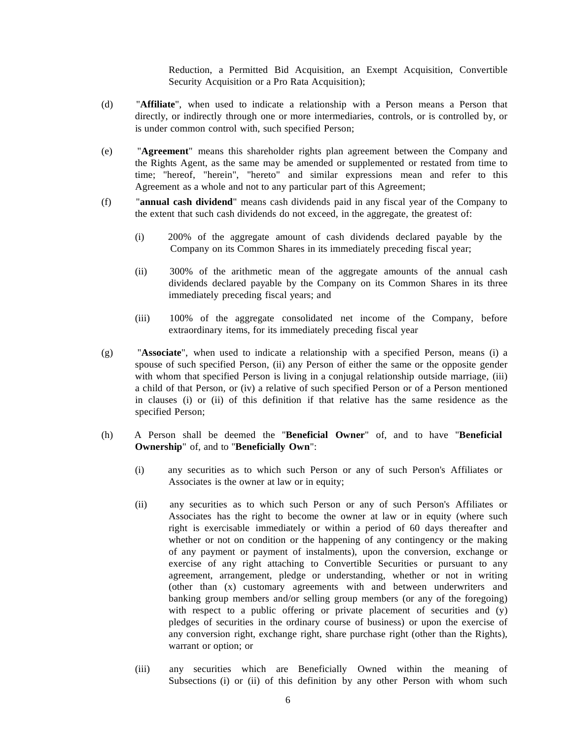Reduction, a Permitted Bid Acquisition, an Exempt Acquisition, Convertible Security Acquisition or a Pro Rata Acquisition);

- (d) "**Affiliate**", when used to indicate a relationship with a Person means a Person that directly, or indirectly through one or more intermediaries, controls, or is controlled by, or is under common control with, such specified Person;
- (e) "**Agreement**" means this shareholder rights plan agreement between the Company and the Rights Agent, as the same may be amended or supplemented or restated from time to time; "hereof, "herein", "hereto" and similar expressions mean and refer to this Agreement as a whole and not to any particular part of this Agreement;
- (f) "**annual cash dividend**" means cash dividends paid in any fiscal year of the Company to the extent that such cash dividends do not exceed, in the aggregate, the greatest of:
	- (i) 200% of the aggregate amount of cash dividends declared payable by the Company on its Common Shares in its immediately preceding fiscal year;
	- (ii) 300% of the arithmetic mean of the aggregate amounts of the annual cash dividends declared payable by the Company on its Common Shares in its three immediately preceding fiscal years; and
	- (iii) 100% of the aggregate consolidated net income of the Company, before extraordinary items, for its immediately preceding fiscal year
- (g) "**Associate**", when used to indicate a relationship with a specified Person, means (i) a spouse of such specified Person, (ii) any Person of either the same or the opposite gender with whom that specified Person is living in a conjugal relationship outside marriage, (iii) a child of that Person, or (iv) a relative of such specified Person or of a Person mentioned in clauses (i) or (ii) of this definition if that relative has the same residence as the specified Person;
- (h) A Person shall be deemed the "**Beneficial Owner**" of, and to have "**Beneficial Ownership**" of, and to "**Beneficially Own**":
	- (i) any securities as to which such Person or any of such Person's Affiliates or Associates is the owner at law or in equity;
	- (ii) any securities as to which such Person or any of such Person's Affiliates or Associates has the right to become the owner at law or in equity (where such right is exercisable immediately or within a period of 60 days thereafter and whether or not on condition or the happening of any contingency or the making of any payment or payment of instalments), upon the conversion, exchange or exercise of any right attaching to Convertible Securities or pursuant to any agreement, arrangement, pledge or understanding, whether or not in writing (other than (x) customary agreements with and between underwriters and banking group members and/or selling group members (or any of the foregoing) with respect to a public offering or private placement of securities and (y) pledges of securities in the ordinary course of business) or upon the exercise of any conversion right, exchange right, share purchase right (other than the Rights), warrant or option; or
	- (iii) any securities which are Beneficially Owned within the meaning of Subsections (i) or (ii) of this definition by any other Person with whom such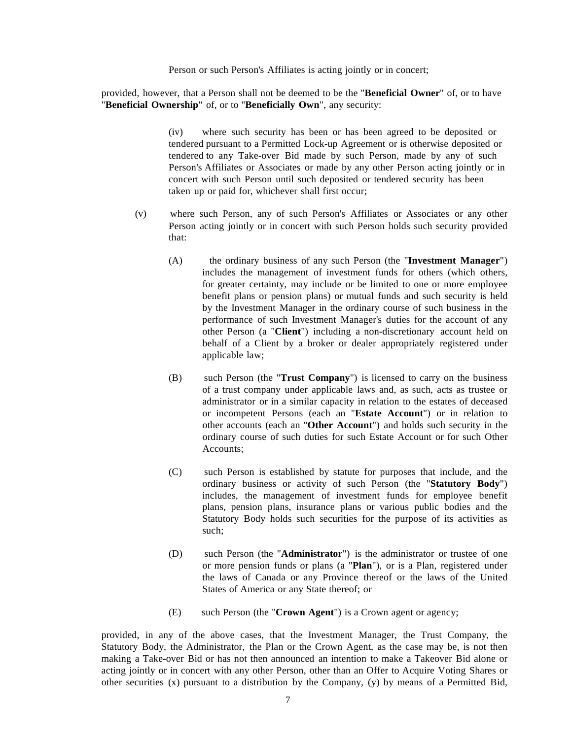Person or such Person's Affiliates is acting jointly or in concert;

provided, however, that a Person shall not be deemed to be the "**Beneficial Owner**" of, or to have "**Beneficial Ownership**" of, or to "**Beneficially Own**", any security:

> (iv) where such security has been or has been agreed to be deposited or tendered pursuant to a Permitted Lock-up Agreement or is otherwise deposited or tendered to any Take-over Bid made by such Person, made by any of such Person's Affiliates or Associates or made by any other Person acting jointly or in concert with such Person until such deposited or tendered security has been taken up or paid for, whichever shall first occur;

- (v) where such Person, any of such Person's Affiliates or Associates or any other Person acting jointly or in concert with such Person holds such security provided that:
	- (A) the ordinary business of any such Person (the "**Investment Manager**") includes the management of investment funds for others (which others, for greater certainty, may include or be limited to one or more employee benefit plans or pension plans) or mutual funds and such security is held by the Investment Manager in the ordinary course of such business in the performance of such Investment Manager's duties for the account of any other Person (a "**Client**") including a non-discretionary account held on behalf of a Client by a broker or dealer appropriately registered under applicable law;
	- (B) such Person (the "**Trust Company**") is licensed to carry on the business of a trust company under applicable laws and, as such, acts as trustee or administrator or in a similar capacity in relation to the estates of deceased or incompetent Persons (each an "**Estate Account**") or in relation to other accounts (each an "**Other Account**") and holds such security in the ordinary course of such duties for such Estate Account or for such Other Accounts;
	- (C) such Person is established by statute for purposes that include, and the ordinary business or activity of such Person (the "**Statutory Body**") includes, the management of investment funds for employee benefit plans, pension plans, insurance plans or various public bodies and the Statutory Body holds such securities for the purpose of its activities as such;
	- (D) such Person (the "**Administrator**") is the administrator or trustee of one or more pension funds or plans (a "**Plan**"), or is a Plan, registered under the laws of Canada or any Province thereof or the laws of the United States of America or any State thereof; or
	- (E) such Person (the "**Crown Agent**") is a Crown agent or agency;

provided, in any of the above cases, that the Investment Manager, the Trust Company, the Statutory Body, the Administrator, the Plan or the Crown Agent, as the case may be, is not then making a Take-over Bid or has not then announced an intention to make a Takeover Bid alone or acting jointly or in concert with any other Person, other than an Offer to Acquire Voting Shares or other securities  $(x)$  pursuant to a distribution by the Company,  $(y)$  by means of a Permitted Bid,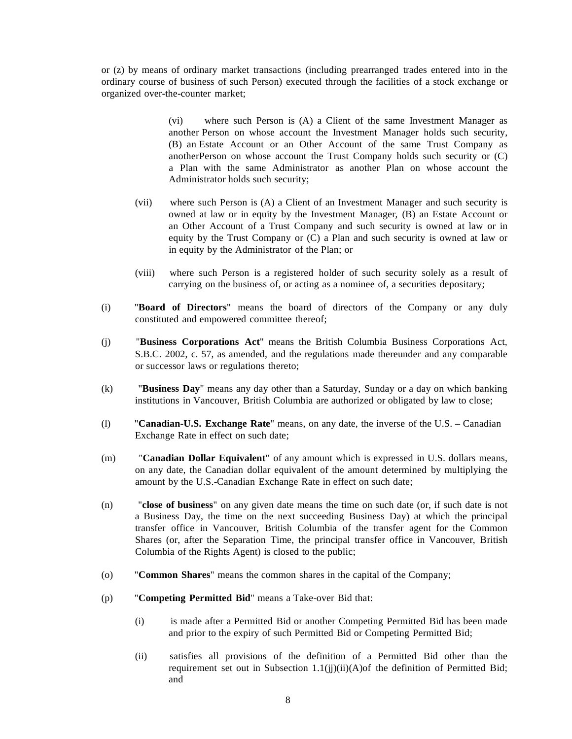or (z) by means of ordinary market transactions (including prearranged trades entered into in the ordinary course of business of such Person) executed through the facilities of a stock exchange or organized over-the-counter market;

> (vi) where such Person is (A) a Client of the same Investment Manager as another Person on whose account the Investment Manager holds such security, (B) an Estate Account or an Other Account of the same Trust Company as anotherPerson on whose account the Trust Company holds such security or (C) a Plan with the same Administrator as another Plan on whose account the Administrator holds such security;

- (vii) where such Person is (A) a Client of an Investment Manager and such security is owned at law or in equity by the Investment Manager, (B) an Estate Account or an Other Account of a Trust Company and such security is owned at law or in equity by the Trust Company or (C) a Plan and such security is owned at law or in equity by the Administrator of the Plan; or
- (viii) where such Person is a registered holder of such security solely as a result of carrying on the business of, or acting as a nominee of, a securities depositary;
- (i) "**Board of Directors**" means the board of directors of the Company or any duly constituted and empowered committee thereof;
- (j) "**Business Corporations Act**" means the British Columbia Business Corporations Act, S.B.C. 2002, c. 57, as amended, and the regulations made thereunder and any comparable or successor laws or regulations thereto;
- (k) "**Business Day**" means any day other than a Saturday, Sunday or a day on which banking institutions in Vancouver, British Columbia are authorized or obligated by law to close;
- (l) "**Canadian-U.S. Exchange Rate**" means, on any date, the inverse of the U.S. Canadian Exchange Rate in effect on such date;
- (m) "**Canadian Dollar Equivalent**" of any amount which is expressed in U.S. dollars means, on any date, the Canadian dollar equivalent of the amount determined by multiplying the amount by the U.S.-Canadian Exchange Rate in effect on such date;
- (n) "**close of business**" on any given date means the time on such date (or, if such date is not a Business Day, the time on the next succeeding Business Day) at which the principal transfer office in Vancouver, British Columbia of the transfer agent for the Common Shares (or, after the Separation Time, the principal transfer office in Vancouver, British Columbia of the Rights Agent) is closed to the public;
- (o) "**Common Shares**" means the common shares in the capital of the Company;
- (p) "**Competing Permitted Bid**" means a Take-over Bid that:
	- (i) is made after a Permitted Bid or another Competing Permitted Bid has been made and prior to the expiry of such Permitted Bid or Competing Permitted Bid;
	- (ii) satisfies all provisions of the definition of a Permitted Bid other than the requirement set out in Subsection  $1.1(ij)(ii)(A)$  of the definition of Permitted Bid; and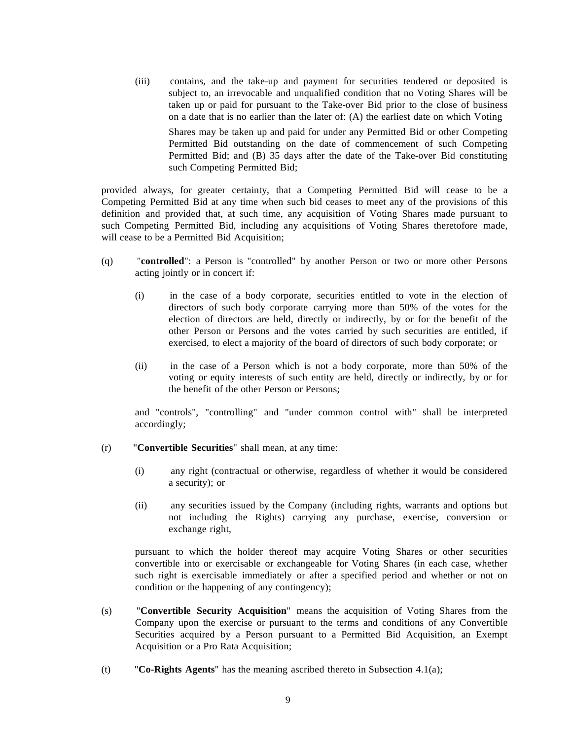(iii) contains, and the take-up and payment for securities tendered or deposited is subject to, an irrevocable and unqualified condition that no Voting Shares will be taken up or paid for pursuant to the Take-over Bid prior to the close of business on a date that is no earlier than the later of: (A) the earliest date on which Voting Shares may be taken up and paid for under any Permitted Bid or other Competing Permitted Bid outstanding on the date of commencement of such Competing Permitted Bid; and (B) 35 days after the date of the Take-over Bid constituting such Competing Permitted Bid;

provided always, for greater certainty, that a Competing Permitted Bid will cease to be a Competing Permitted Bid at any time when such bid ceases to meet any of the provisions of this definition and provided that, at such time, any acquisition of Voting Shares made pursuant to such Competing Permitted Bid, including any acquisitions of Voting Shares theretofore made, will cease to be a Permitted Bid Acquisition;

- (q) "**controlled**": a Person is "controlled" by another Person or two or more other Persons acting jointly or in concert if:
	- (i) in the case of a body corporate, securities entitled to vote in the election of directors of such body corporate carrying more than 50% of the votes for the election of directors are held, directly or indirectly, by or for the benefit of the other Person or Persons and the votes carried by such securities are entitled, if exercised, to elect a majority of the board of directors of such body corporate; or
	- (ii) in the case of a Person which is not a body corporate, more than 50% of the voting or equity interests of such entity are held, directly or indirectly, by or for the benefit of the other Person or Persons;

and "controls", "controlling" and "under common control with" shall be interpreted accordingly;

- (r) "**Convertible Securities**" shall mean, at any time:
	- (i) any right (contractual or otherwise, regardless of whether it would be considered a security); or
	- (ii) any securities issued by the Company (including rights, warrants and options but not including the Rights) carrying any purchase, exercise, conversion or exchange right,

pursuant to which the holder thereof may acquire Voting Shares or other securities convertible into or exercisable or exchangeable for Voting Shares (in each case, whether such right is exercisable immediately or after a specified period and whether or not on condition or the happening of any contingency);

- (s) "**Convertible Security Acquisition**" means the acquisition of Voting Shares from the Company upon the exercise or pursuant to the terms and conditions of any Convertible Securities acquired by a Person pursuant to a Permitted Bid Acquisition, an Exempt Acquisition or a Pro Rata Acquisition;
- (t) "**Co-Rights Agents**" has the meaning ascribed thereto in Subsection 4.1(a);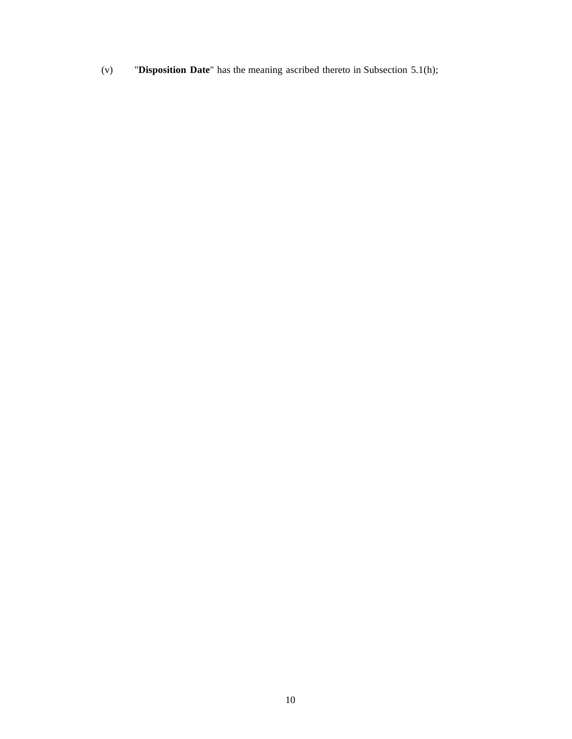(v) "**Disposition Date**" has the meaning ascribed thereto in Subsection 5.1(h);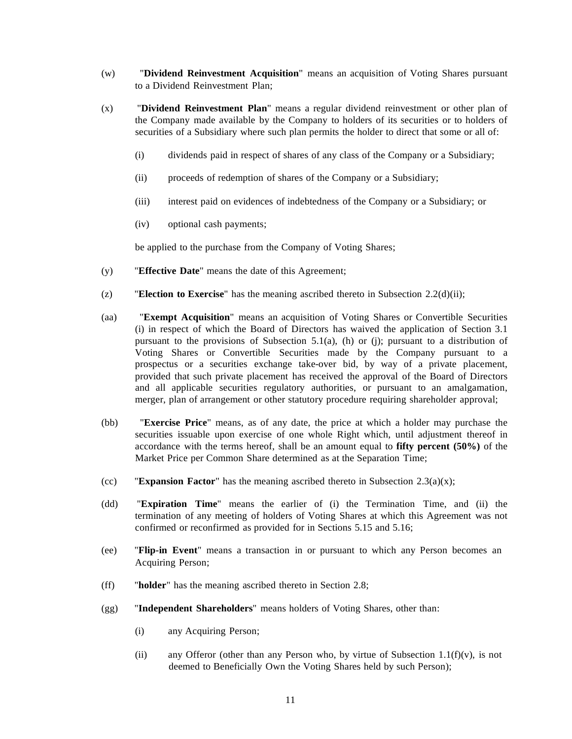- (w) "**Dividend Reinvestment Acquisition**" means an acquisition of Voting Shares pursuant to a Dividend Reinvestment Plan;
- (x) "**Dividend Reinvestment Plan**" means a regular dividend reinvestment or other plan of the Company made available by the Company to holders of its securities or to holders of securities of a Subsidiary where such plan permits the holder to direct that some or all of:
	- (i) dividends paid in respect of shares of any class of the Company or a Subsidiary;
	- (ii) proceeds of redemption of shares of the Company or a Subsidiary;
	- (iii) interest paid on evidences of indebtedness of the Company or a Subsidiary; or
	- (iv) optional cash payments;

be applied to the purchase from the Company of Voting Shares;

- (y) "**Effective Date**" means the date of this Agreement;
- (z) "**Election to Exercise**" has the meaning ascribed thereto in Subsection 2.2(d)(ii);
- (aa) "**Exempt Acquisition**" means an acquisition of Voting Shares or Convertible Securities (i) in respect of which the Board of Directors has waived the application of Section 3.1 pursuant to the provisions of Subsection 5.1(a), (h) or (j); pursuant to a distribution of Voting Shares or Convertible Securities made by the Company pursuant to a prospectus or a securities exchange take-over bid, by way of a private placement, provided that such private placement has received the approval of the Board of Directors and all applicable securities regulatory authorities, or pursuant to an amalgamation, merger, plan of arrangement or other statutory procedure requiring shareholder approval;
- (bb) "**Exercise Price**" means, as of any date, the price at which a holder may purchase the securities issuable upon exercise of one whole Right which, until adjustment thereof in accordance with the terms hereof, shall be an amount equal to **fifty percent (50%)** of the Market Price per Common Share determined as at the Separation Time;
- (cc) **Expansion Factor**" has the meaning ascribed thereto in Subsection  $2.3(a)(x)$ ;
- (dd) "**Expiration Time**" means the earlier of (i) the Termination Time, and (ii) the termination of any meeting of holders of Voting Shares at which this Agreement was not confirmed or reconfirmed as provided for in Sections 5.15 and 5.16;
- (ee) "**Flip-in Event**" means a transaction in or pursuant to which any Person becomes an Acquiring Person;
- (ff) "**holder**" has the meaning ascribed thereto in Section 2.8;
- (gg) "**Independent Shareholders**" means holders of Voting Shares, other than:
	- (i) any Acquiring Person;
	- (ii) any Offeror (other than any Person who, by virtue of Subsection 1.1( $f(x)$ ), is not deemed to Beneficially Own the Voting Shares held by such Person);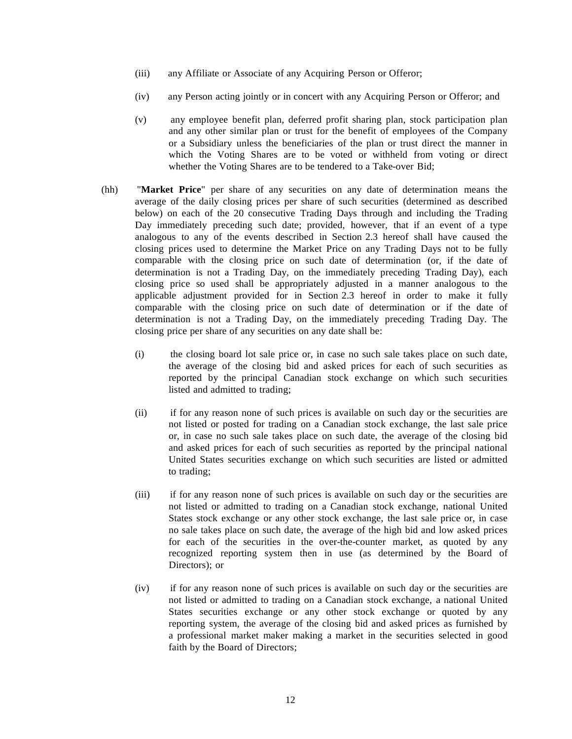- (iii) any Affiliate or Associate of any Acquiring Person or Offeror;
- (iv) any Person acting jointly or in concert with any Acquiring Person or Offeror; and
- (v) any employee benefit plan, deferred profit sharing plan, stock participation plan and any other similar plan or trust for the benefit of employees of the Company or a Subsidiary unless the beneficiaries of the plan or trust direct the manner in which the Voting Shares are to be voted or withheld from voting or direct whether the Voting Shares are to be tendered to a Take-over Bid;
- (hh) "**Market Price**" per share of any securities on any date of determination means the average of the daily closing prices per share of such securities (determined as described below) on each of the 20 consecutive Trading Days through and including the Trading Day immediately preceding such date; provided, however, that if an event of a type analogous to any of the events described in Section 2.3 hereof shall have caused the closing prices used to determine the Market Price on any Trading Days not to be fully comparable with the closing price on such date of determination (or, if the date of determination is not a Trading Day, on the immediately preceding Trading Day), each closing price so used shall be appropriately adjusted in a manner analogous to the applicable adjustment provided for in Section 2.3 hereof in order to make it fully comparable with the closing price on such date of determination or if the date of determination is not a Trading Day, on the immediately preceding Trading Day. The closing price per share of any securities on any date shall be:
	- (i) the closing board lot sale price or, in case no such sale takes place on such date, the average of the closing bid and asked prices for each of such securities as reported by the principal Canadian stock exchange on which such securities listed and admitted to trading;
	- (ii) if for any reason none of such prices is available on such day or the securities are not listed or posted for trading on a Canadian stock exchange, the last sale price or, in case no such sale takes place on such date, the average of the closing bid and asked prices for each of such securities as reported by the principal national United States securities exchange on which such securities are listed or admitted to trading;
	- (iii) if for any reason none of such prices is available on such day or the securities are not listed or admitted to trading on a Canadian stock exchange, national United States stock exchange or any other stock exchange, the last sale price or, in case no sale takes place on such date, the average of the high bid and low asked prices for each of the securities in the over-the-counter market, as quoted by any recognized reporting system then in use (as determined by the Board of Directors); or
	- (iv) if for any reason none of such prices is available on such day or the securities are not listed or admitted to trading on a Canadian stock exchange, a national United States securities exchange or any other stock exchange or quoted by any reporting system, the average of the closing bid and asked prices as furnished by a professional market maker making a market in the securities selected in good faith by the Board of Directors;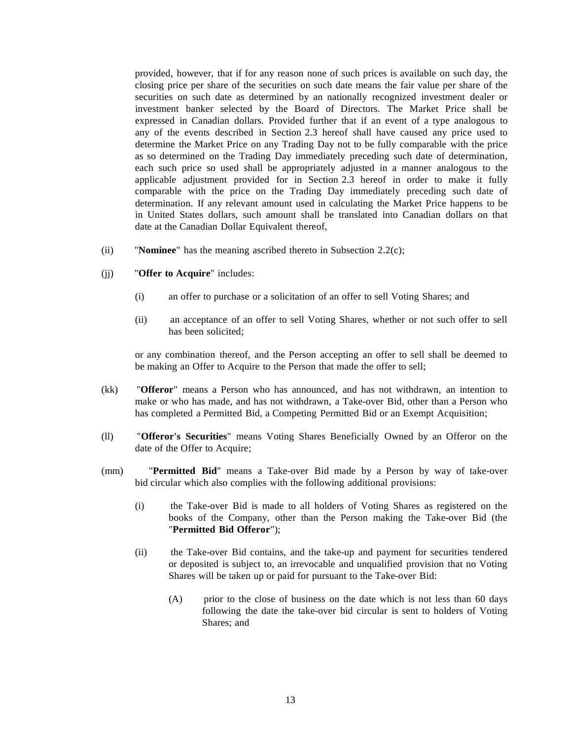provided, however, that if for any reason none of such prices is available on such day, the closing price per share of the securities on such date means the fair value per share of the securities on such date as determined by an nationally recognized investment dealer or investment banker selected by the Board of Directors. The Market Price shall be expressed in Canadian dollars. Provided further that if an event of a type analogous to any of the events described in Section 2.3 hereof shall have caused any price used to determine the Market Price on any Trading Day not to be fully comparable with the price as so determined on the Trading Day immediately preceding such date of determination, each such price so used shall be appropriately adjusted in a manner analogous to the applicable adjustment provided for in Section 2.3 hereof in order to make it fully comparable with the price on the Trading Day immediately preceding such date of determination. If any relevant amount used in calculating the Market Price happens to be in United States dollars, such amount shall be translated into Canadian dollars on that date at the Canadian Dollar Equivalent thereof,

(ii) "**Nominee**" has the meaning ascribed thereto in Subsection 2.2(c);

#### (jj) "**Offer to Acquire**" includes:

- (i) an offer to purchase or a solicitation of an offer to sell Voting Shares; and
- (ii) an acceptance of an offer to sell Voting Shares, whether or not such offer to sell has been solicited;

or any combination thereof, and the Person accepting an offer to sell shall be deemed to be making an Offer to Acquire to the Person that made the offer to sell;

- (kk) "**Offeror**" means a Person who has announced, and has not withdrawn, an intention to make or who has made, and has not withdrawn, a Take-over Bid, other than a Person who has completed a Permitted Bid, a Competing Permitted Bid or an Exempt Acquisition;
- (ll) "**Offeror's Securities**" means Voting Shares Beneficially Owned by an Offeror on the date of the Offer to Acquire;
- (mm) "**Permitted Bid**" means a Take-over Bid made by a Person by way of take-over bid circular which also complies with the following additional provisions:
	- (i) the Take-over Bid is made to all holders of Voting Shares as registered on the books of the Company, other than the Person making the Take-over Bid (the "**Permitted Bid Offeror**");
	- (ii) the Take-over Bid contains, and the take-up and payment for securities tendered or deposited is subject to, an irrevocable and unqualified provision that no Voting Shares will be taken up or paid for pursuant to the Take-over Bid:
		- (A) prior to the close of business on the date which is not less than 60 days following the date the take-over bid circular is sent to holders of Voting Shares; and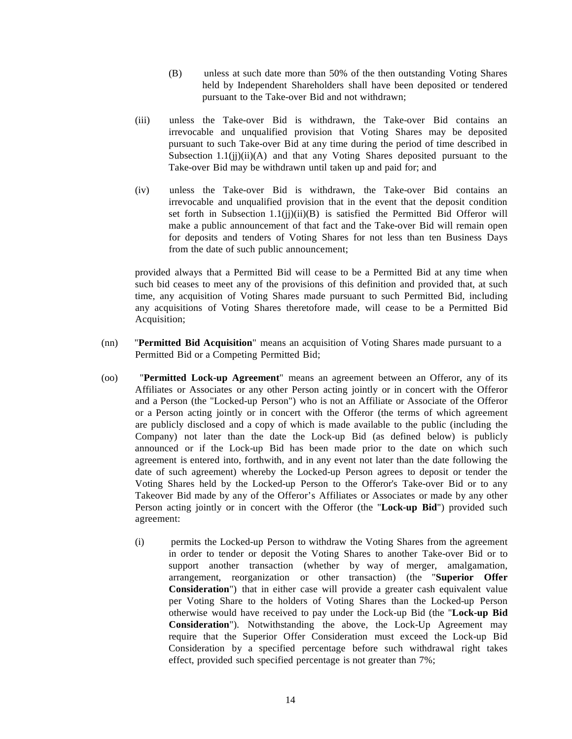- (B) unless at such date more than 50% of the then outstanding Voting Shares held by Independent Shareholders shall have been deposited or tendered pursuant to the Take-over Bid and not withdrawn;
- (iii) unless the Take-over Bid is withdrawn, the Take-over Bid contains an irrevocable and unqualified provision that Voting Shares may be deposited pursuant to such Take-over Bid at any time during the period of time described in Subsection  $1.1(ij)(ii)(A)$  and that any Voting Shares deposited pursuant to the Take-over Bid may be withdrawn until taken up and paid for; and
- (iv) unless the Take-over Bid is withdrawn, the Take-over Bid contains an irrevocable and unqualified provision that in the event that the deposit condition set forth in Subsection  $1.1(ij)(ii)(B)$  is satisfied the Permitted Bid Offeror will make a public announcement of that fact and the Take-over Bid will remain open for deposits and tenders of Voting Shares for not less than ten Business Days from the date of such public announcement;

provided always that a Permitted Bid will cease to be a Permitted Bid at any time when such bid ceases to meet any of the provisions of this definition and provided that, at such time, any acquisition of Voting Shares made pursuant to such Permitted Bid, including any acquisitions of Voting Shares theretofore made, will cease to be a Permitted Bid Acquisition;

- (nn) "**Permitted Bid Acquisition**" means an acquisition of Voting Shares made pursuant to a Permitted Bid or a Competing Permitted Bid;
- (oo) "**Permitted Lock-up Agreement**" means an agreement between an Offeror, any of its Affiliates or Associates or any other Person acting jointly or in concert with the Offeror and a Person (the "Locked-up Person") who is not an Affiliate or Associate of the Offeror or a Person acting jointly or in concert with the Offeror (the terms of which agreement are publicly disclosed and a copy of which is made available to the public (including the Company) not later than the date the Lock-up Bid (as defined below) is publicly announced or if the Lock-up Bid has been made prior to the date on which such agreement is entered into, forthwith, and in any event not later than the date following the date of such agreement) whereby the Locked-up Person agrees to deposit or tender the Voting Shares held by the Locked-up Person to the Offeror's Take-over Bid or to any Takeover Bid made by any of the Offeror's Affiliates or Associates or made by any other Person acting jointly or in concert with the Offeror (the "**Lock-up Bid**") provided such agreement:
	- (i) permits the Locked-up Person to withdraw the Voting Shares from the agreement in order to tender or deposit the Voting Shares to another Take-over Bid or to support another transaction (whether by way of merger, amalgamation, arrangement, reorganization or other transaction) (the "**Superior Offer Consideration**") that in either case will provide a greater cash equivalent value per Voting Share to the holders of Voting Shares than the Locked-up Person otherwise would have received to pay under the Lock-up Bid (the "**Lock-up Bid Consideration**"). Notwithstanding the above, the Lock-Up Agreement may require that the Superior Offer Consideration must exceed the Lock-up Bid Consideration by a specified percentage before such withdrawal right takes effect, provided such specified percentage is not greater than 7%;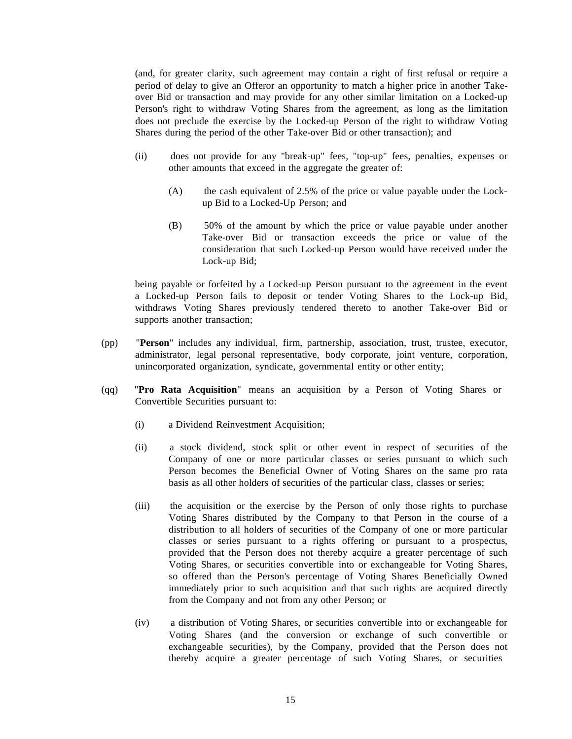(and, for greater clarity, such agreement may contain a right of first refusal or require a period of delay to give an Offeror an opportunity to match a higher price in another Takeover Bid or transaction and may provide for any other similar limitation on a Locked-up Person's right to withdraw Voting Shares from the agreement, as long as the limitation does not preclude the exercise by the Locked-up Person of the right to withdraw Voting Shares during the period of the other Take-over Bid or other transaction); and

- (ii) does not provide for any "break-up" fees, "top-up" fees, penalties, expenses or other amounts that exceed in the aggregate the greater of:
	- (A) the cash equivalent of 2.5% of the price or value payable under the Lockup Bid to a Locked-Up Person; and
	- (B) 50% of the amount by which the price or value payable under another Take-over Bid or transaction exceeds the price or value of the consideration that such Locked-up Person would have received under the Lock-up Bid;

being payable or forfeited by a Locked-up Person pursuant to the agreement in the event a Locked-up Person fails to deposit or tender Voting Shares to the Lock-up Bid, withdraws Voting Shares previously tendered thereto to another Take-over Bid or supports another transaction;

- (pp) "**Person**" includes any individual, firm, partnership, association, trust, trustee, executor, administrator, legal personal representative, body corporate, joint venture, corporation, unincorporated organization, syndicate, governmental entity or other entity;
- (qq) "**Pro Rata Acquisition**" means an acquisition by a Person of Voting Shares or Convertible Securities pursuant to:
	- (i) a Dividend Reinvestment Acquisition;
	- (ii) a stock dividend, stock split or other event in respect of securities of the Company of one or more particular classes or series pursuant to which such Person becomes the Beneficial Owner of Voting Shares on the same pro rata basis as all other holders of securities of the particular class, classes or series;
	- (iii) the acquisition or the exercise by the Person of only those rights to purchase Voting Shares distributed by the Company to that Person in the course of a distribution to all holders of securities of the Company of one or more particular classes or series pursuant to a rights offering or pursuant to a prospectus, provided that the Person does not thereby acquire a greater percentage of such Voting Shares, or securities convertible into or exchangeable for Voting Shares, so offered than the Person's percentage of Voting Shares Beneficially Owned immediately prior to such acquisition and that such rights are acquired directly from the Company and not from any other Person; or
	- (iv) a distribution of Voting Shares, or securities convertible into or exchangeable for Voting Shares (and the conversion or exchange of such convertible or exchangeable securities), by the Company, provided that the Person does not thereby acquire a greater percentage of such Voting Shares, or securities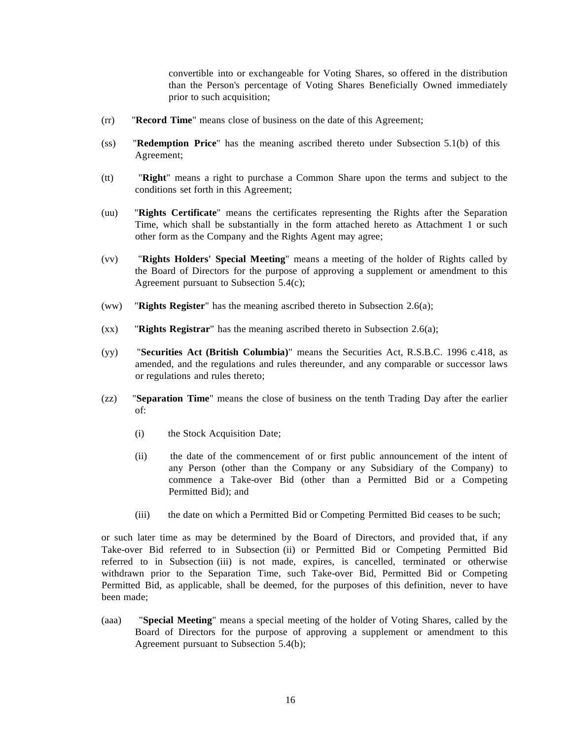convertible into or exchangeable for Voting Shares, so offered in the distribution than the Person's percentage of Voting Shares Beneficially Owned immediately prior to such acquisition;

- (rr) "**Record Time**" means close of business on the date of this Agreement;
- (ss) "**Redemption Price**" has the meaning ascribed thereto under Subsection 5.1(b) of this Agreement;
- (tt) "**Right**" means a right to purchase a Common Share upon the terms and subject to the conditions set forth in this Agreement;
- (uu) "**Rights Certificate**" means the certificates representing the Rights after the Separation Time, which shall be substantially in the form attached hereto as Attachment 1 or such other form as the Company and the Rights Agent may agree;
- (vv) "**Rights Holders' Special Meeting**" means a meeting of the holder of Rights called by the Board of Directors for the purpose of approving a supplement or amendment to this Agreement pursuant to Subsection 5.4(c);
- (ww) "**Rights Register**" has the meaning ascribed thereto in Subsection 2.6(a);
- (xx) "**Rights Registrar**" has the meaning ascribed thereto in Subsection 2.6(a);
- (yy) "**Securities Act (British Columbia)**" means the Securities Act, R.S.B.C. 1996 c.418, as amended, and the regulations and rules thereunder, and any comparable or successor laws or regulations and rules thereto;
- (zz) "**Separation Time**" means the close of business on the tenth Trading Day after the earlier of:
	- (i) the Stock Acquisition Date;
	- (ii) the date of the commencement of or first public announcement of the intent of any Person (other than the Company or any Subsidiary of the Company) to commence a Take-over Bid (other than a Permitted Bid or a Competing Permitted Bid); and
	- (iii) the date on which a Permitted Bid or Competing Permitted Bid ceases to be such;

or such later time as may be determined by the Board of Directors, and provided that, if any Take-over Bid referred to in Subsection (ii) or Permitted Bid or Competing Permitted Bid referred to in Subsection (iii) is not made, expires, is cancelled, terminated or otherwise withdrawn prior to the Separation Time, such Take-over Bid, Permitted Bid or Competing Permitted Bid, as applicable, shall be deemed, for the purposes of this definition, never to have been made;

(aaa) "**Special Meeting**" means a special meeting of the holder of Voting Shares, called by the Board of Directors for the purpose of approving a supplement or amendment to this Agreement pursuant to Subsection 5.4(b);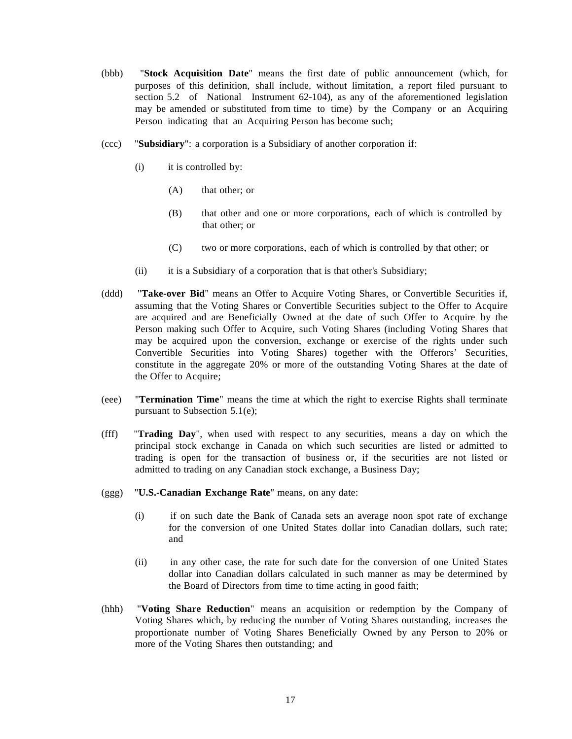- (bbb) "**Stock Acquisition Date**" means the first date of public announcement (which, for purposes of this definition, shall include, without limitation, a report filed pursuant to section 5.2 of National Instrument 62-104), as any of the aforementioned legislation may be amended or substituted from time to time) by the Company or an Acquiring Person indicating that an Acquiring Person has become such;
- (ccc) "**Subsidiary**": a corporation is a Subsidiary of another corporation if:
	- (i) it is controlled by:
		- (A) that other; or
		- (B) that other and one or more corporations, each of which is controlled by that other; or
		- (C) two or more corporations, each of which is controlled by that other; or
	- (ii) it is a Subsidiary of a corporation that is that other's Subsidiary;
- (ddd) "**Take-over Bid**" means an Offer to Acquire Voting Shares, or Convertible Securities if, assuming that the Voting Shares or Convertible Securities subject to the Offer to Acquire are acquired and are Beneficially Owned at the date of such Offer to Acquire by the Person making such Offer to Acquire, such Voting Shares (including Voting Shares that may be acquired upon the conversion, exchange or exercise of the rights under such Convertible Securities into Voting Shares) together with the Offerors' Securities, constitute in the aggregate 20% or more of the outstanding Voting Shares at the date of the Offer to Acquire;
- (eee) "**Termination Time**" means the time at which the right to exercise Rights shall terminate pursuant to Subsection 5.1(e);
- (fff) "**Trading Day**", when used with respect to any securities, means a day on which the principal stock exchange in Canada on which such securities are listed or admitted to trading is open for the transaction of business or, if the securities are not listed or admitted to trading on any Canadian stock exchange, a Business Day;
- (ggg) "**U.S.-Canadian Exchange Rate**" means, on any date:
	- (i) if on such date the Bank of Canada sets an average noon spot rate of exchange for the conversion of one United States dollar into Canadian dollars, such rate; and
	- (ii) in any other case, the rate for such date for the conversion of one United States dollar into Canadian dollars calculated in such manner as may be determined by the Board of Directors from time to time acting in good faith;
- (hhh) "**Voting Share Reduction**" means an acquisition or redemption by the Company of Voting Shares which, by reducing the number of Voting Shares outstanding, increases the proportionate number of Voting Shares Beneficially Owned by any Person to 20% or more of the Voting Shares then outstanding; and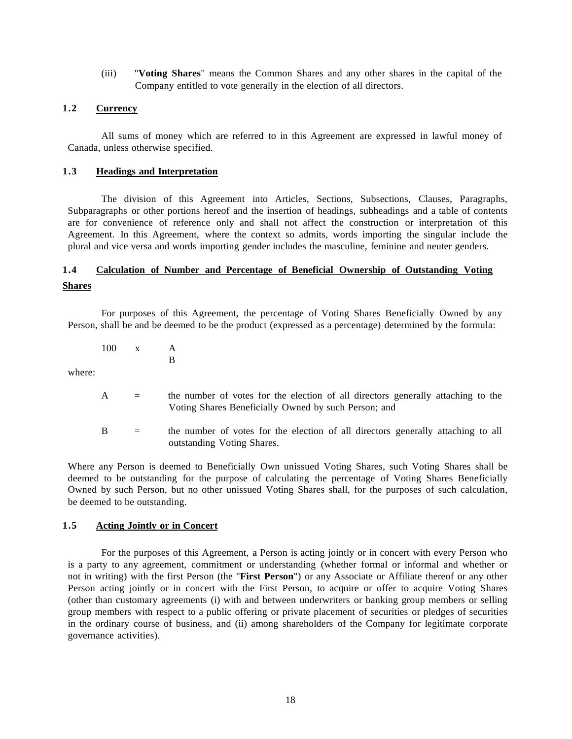(iii) "**Voting Shares**" means the Common Shares and any other shares in the capital of the Company entitled to vote generally in the election of all directors.

## <span id="page-17-0"></span>**1.2 Currency**

All sums of money which are referred to in this Agreement are expressed in lawful money of Canada, unless otherwise specified.

## <span id="page-17-1"></span>**1.3 Headings and Interpretation**

The division of this Agreement into Articles, Sections, Subsections, Clauses, Paragraphs, Subparagraphs or other portions hereof and the insertion of headings, subheadings and a table of contents are for convenience of reference only and shall not affect the construction or interpretation of this Agreement. In this Agreement, where the context so admits, words importing the singular include the plural and vice versa and words importing gender includes the masculine, feminine and neuter genders.

## <span id="page-17-3"></span><span id="page-17-2"></span>**1.4 Calculation of Number and Percentage of Beneficial Ownership of Outstanding Voting Shares**

For purposes of this Agreement, the percentage of Voting Shares Beneficially Owned by any Person, shall be and be deemed to be the product (expressed as a percentage) determined by the formula:

100  $x \underline{A}$ B

where:

- A = the number of votes for the election of all directors generally attaching to the Voting Shares Beneficially Owned by such Person; and
- B = the number of votes for the election of all directors generally attaching to all outstanding Voting Shares.

Where any Person is deemed to Beneficially Own unissued Voting Shares, such Voting Shares shall be deemed to be outstanding for the purpose of calculating the percentage of Voting Shares Beneficially Owned by such Person, but no other unissued Voting Shares shall, for the purposes of such calculation, be deemed to be outstanding.

#### <span id="page-17-4"></span>**1.5 Acting Jointly or in Concert**

For the purposes of this Agreement, a Person is acting jointly or in concert with every Person who is a party to any agreement, commitment or understanding (whether formal or informal and whether or not in writing) with the first Person (the "**First Person**") or any Associate or Affiliate thereof or any other Person acting jointly or in concert with the First Person, to acquire or offer to acquire Voting Shares (other than customary agreements (i) with and between underwriters or banking group members or selling group members with respect to a public offering or private placement of securities or pledges of securities in the ordinary course of business, and (ii) among shareholders of the Company for legitimate corporate governance activities).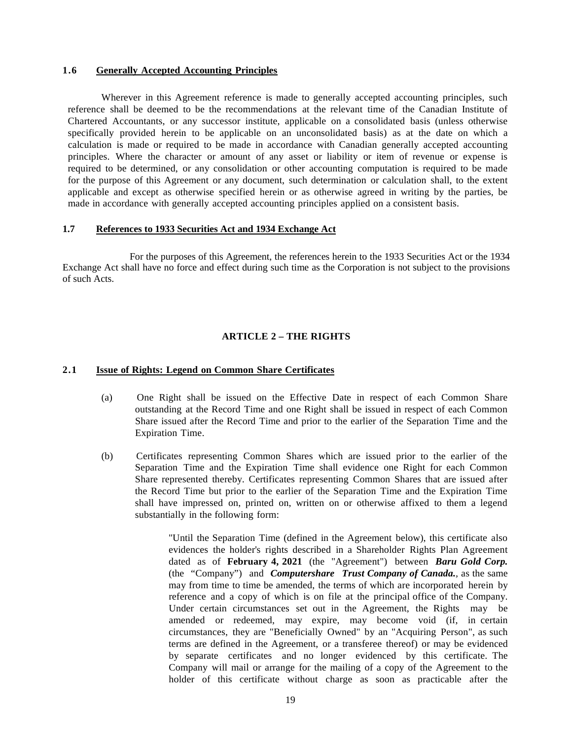#### <span id="page-18-0"></span>**1.6 Generally Accepted Accounting Principles**

Wherever in this Agreement reference is made to generally accepted accounting principles, such reference shall be deemed to be the recommendations at the relevant time of the Canadian Institute of Chartered Accountants, or any successor institute, applicable on a consolidated basis (unless otherwise specifically provided herein to be applicable on an unconsolidated basis) as at the date on which a calculation is made or required to be made in accordance with Canadian generally accepted accounting principles. Where the character or amount of any asset or liability or item of revenue or expense is required to be determined, or any consolidation or other accounting computation is required to be made for the purpose of this Agreement or any document, such determination or calculation shall, to the extent applicable and except as otherwise specified herein or as otherwise agreed in writing by the parties, be made in accordance with generally accepted accounting principles applied on a consistent basis.

#### <span id="page-18-1"></span>**1.7 References to 1933 Securities Act and 1934 Exchange Act**

For the purposes of this Agreement, the references herein to the 1933 Securities Act or the 1934 Exchange Act shall have no force and effect during such time as the Corporation is not subject to the provisions of such Acts.

## **ARTICLE 2 – THE RIGHTS**

#### <span id="page-18-3"></span><span id="page-18-2"></span>**2.1 Issue of Rights: Legend on Common Share Certificates**

- (a) One Right shall be issued on the Effective Date in respect of each Common Share outstanding at the Record Time and one Right shall be issued in respect of each Common Share issued after the Record Time and prior to the earlier of the Separation Time and the Expiration Time.
- (b) Certificates representing Common Shares which are issued prior to the earlier of the Separation Time and the Expiration Time shall evidence one Right for each Common Share represented thereby. Certificates representing Common Shares that are issued after the Record Time but prior to the earlier of the Separation Time and the Expiration Time shall have impressed on, printed on, written on or otherwise affixed to them a legend substantially in the following form:

"Until the Separation Time (defined in the Agreement below), this certificate also evidences the holder's rights described in a Shareholder Rights Plan Agreement dated as of **February 4, 2021** (the "Agreement") between *Baru Gold Corp.*  (the "Company") and *Computershare Trust Company of Canada.,* as the same may from time to time be amended, the terms of which are incorporated herein by reference and a copy of which is on file at the principal office of the Company. Under certain circumstances set out in the Agreement, the Rights may be amended or redeemed, may expire, may become void (if, in certain circumstances, they are "Beneficially Owned" by an "Acquiring Person", as such terms are defined in the Agreement, or a transferee thereof) or may be evidenced by separate certificates and no longer evidenced by this certificate. The Company will mail or arrange for the mailing of a copy of the Agreement to the holder of this certificate without charge as soon as practicable after the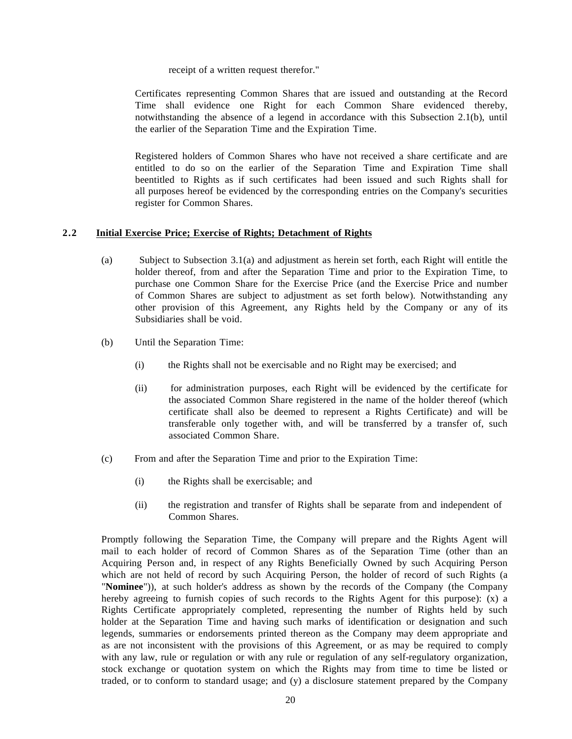#### receipt of a written request therefor."

Certificates representing Common Shares that are issued and outstanding at the Record Time shall evidence one Right for each Common Share evidenced thereby, notwithstanding the absence of a legend in accordance with this Subsection 2.1(b), until the earlier of the Separation Time and the Expiration Time.

Registered holders of Common Shares who have not received a share certificate and are entitled to do so on the earlier of the Separation Time and Expiration Time shall beentitled to Rights as if such certificates had been issued and such Rights shall for all purposes hereof be evidenced by the corresponding entries on the Company's securities register for Common Shares.

#### <span id="page-19-0"></span>**2.2 Initial Exercise Price; Exercise of Rights; Detachment of Rights**

- (a) Subject to Subsection 3.1(a) and adjustment as herein set forth, each Right will entitle the holder thereof, from and after the Separation Time and prior to the Expiration Time, to purchase one Common Share for the Exercise Price (and the Exercise Price and number of Common Shares are subject to adjustment as set forth below). Notwithstanding any other provision of this Agreement, any Rights held by the Company or any of its Subsidiaries shall be void.
- (b) Until the Separation Time:
	- (i) the Rights shall not be exercisable and no Right may be exercised; and
	- (ii) for administration purposes, each Right will be evidenced by the certificate for the associated Common Share registered in the name of the holder thereof (which certificate shall also be deemed to represent a Rights Certificate) and will be transferable only together with, and will be transferred by a transfer of, such associated Common Share.
- (c) From and after the Separation Time and prior to the Expiration Time:
	- (i) the Rights shall be exercisable; and
	- (ii) the registration and transfer of Rights shall be separate from and independent of Common Shares.

Promptly following the Separation Time, the Company will prepare and the Rights Agent will mail to each holder of record of Common Shares as of the Separation Time (other than an Acquiring Person and, in respect of any Rights Beneficially Owned by such Acquiring Person which are not held of record by such Acquiring Person, the holder of record of such Rights (a "**Nominee**")), at such holder's address as shown by the records of the Company (the Company hereby agreeing to furnish copies of such records to the Rights Agent for this purpose): (x) a Rights Certificate appropriately completed, representing the number of Rights held by such holder at the Separation Time and having such marks of identification or designation and such legends, summaries or endorsements printed thereon as the Company may deem appropriate and as are not inconsistent with the provisions of this Agreement, or as may be required to comply with any law, rule or regulation or with any rule or regulation of any self-regulatory organization, stock exchange or quotation system on which the Rights may from time to time be listed or traded, or to conform to standard usage; and (y) a disclosure statement prepared by the Company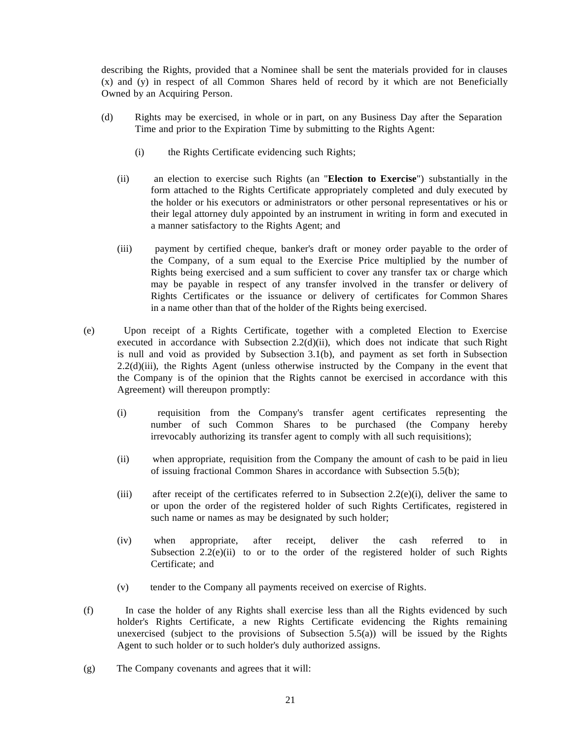describing the Rights, provided that a Nominee shall be sent the materials provided for in clauses (x) and (y) in respect of all Common Shares held of record by it which are not Beneficially Owned by an Acquiring Person.

- (d) Rights may be exercised, in whole or in part, on any Business Day after the Separation Time and prior to the Expiration Time by submitting to the Rights Agent:
	- (i) the Rights Certificate evidencing such Rights;
	- (ii) an election to exercise such Rights (an "**Election to Exercise**") substantially in the form attached to the Rights Certificate appropriately completed and duly executed by the holder or his executors or administrators or other personal representatives or his or their legal attorney duly appointed by an instrument in writing in form and executed in a manner satisfactory to the Rights Agent; and
	- (iii) payment by certified cheque, banker's draft or money order payable to the order of the Company, of a sum equal to the Exercise Price multiplied by the number of Rights being exercised and a sum sufficient to cover any transfer tax or charge which may be payable in respect of any transfer involved in the transfer or delivery of Rights Certificates or the issuance or delivery of certificates for Common Shares in a name other than that of the holder of the Rights being exercised.
- (e) Upon receipt of a Rights Certificate, together with a completed Election to Exercise executed in accordance with Subsection  $2.2(d)(ii)$ , which does not indicate that such Right is null and void as provided by Subsection 3.1(b), and payment as set forth in Subsection 2.2(d)(iii), the Rights Agent (unless otherwise instructed by the Company in the event that the Company is of the opinion that the Rights cannot be exercised in accordance with this Agreement) will thereupon promptly:
	- (i) requisition from the Company's transfer agent certificates representing the number of such Common Shares to be purchased (the Company hereby irrevocably authorizing its transfer agent to comply with all such requisitions);
	- (ii) when appropriate, requisition from the Company the amount of cash to be paid in lieu of issuing fractional Common Shares in accordance with Subsection 5.5(b);
	- (iii) after receipt of the certificates referred to in Subsection 2.2(e)(i), deliver the same to or upon the order of the registered holder of such Rights Certificates, registered in such name or names as may be designated by such holder;
	- (iv) when appropriate, after receipt, deliver the cash referred to in Subsection  $2.2(e)$ (ii) to or to the order of the registered holder of such Rights Certificate; and
	- (v) tender to the Company all payments received on exercise of Rights.
- (f) In case the holder of any Rights shall exercise less than all the Rights evidenced by such holder's Rights Certificate, a new Rights Certificate evidencing the Rights remaining unexercised (subject to the provisions of Subsection  $(5.5(a))$ ) will be issued by the Rights Agent to such holder or to such holder's duly authorized assigns.
- (g) The Company covenants and agrees that it will: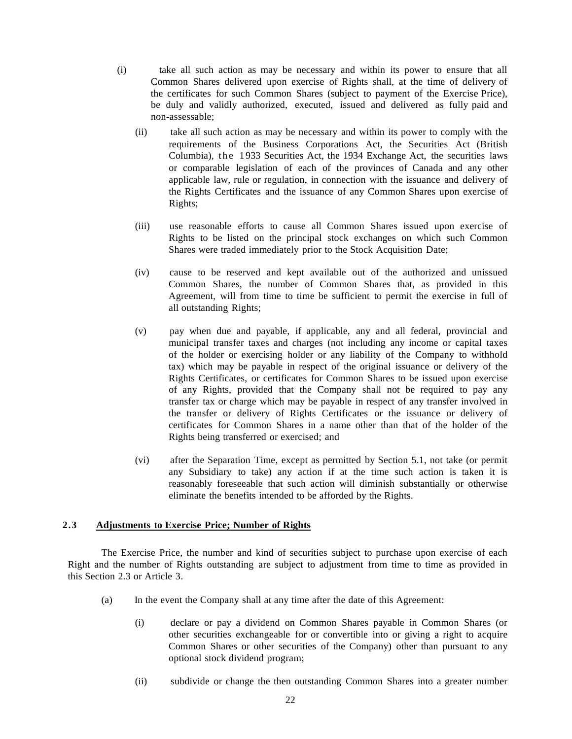- (i) take all such action as may be necessary and within its power to ensure that all Common Shares delivered upon exercise of Rights shall, at the time of delivery of the certificates for such Common Shares (subject to payment of the Exercise Price), be duly and validly authorized, executed, issued and delivered as fully paid and non-assessable;
	- (ii) take all such action as may be necessary and within its power to comply with the requirements of the Business Corporations Act, the Securities Act (British Columbia), the 1 933 Securities Act, the 1934 Exchange Act, the securities laws or comparable legislation of each of the provinces of Canada and any other applicable law, rule or regulation, in connection with the issuance and delivery of the Rights Certificates and the issuance of any Common Shares upon exercise of Rights;
	- (iii) use reasonable efforts to cause all Common Shares issued upon exercise of Rights to be listed on the principal stock exchanges on which such Common Shares were traded immediately prior to the Stock Acquisition Date;
	- (iv) cause to be reserved and kept available out of the authorized and unissued Common Shares, the number of Common Shares that, as provided in this Agreement, will from time to time be sufficient to permit the exercise in full of all outstanding Rights;
	- (v) pay when due and payable, if applicable, any and all federal, provincial and municipal transfer taxes and charges (not including any income or capital taxes of the holder or exercising holder or any liability of the Company to withhold tax) which may be payable in respect of the original issuance or delivery of the Rights Certificates, or certificates for Common Shares to be issued upon exercise of any Rights, provided that the Company shall not be required to pay any transfer tax or charge which may be payable in respect of any transfer involved in the transfer or delivery of Rights Certificates or the issuance or delivery of certificates for Common Shares in a name other than that of the holder of the Rights being transferred or exercised; and
	- (vi) after the Separation Time, except as permitted by Section 5.1, not take (or permit any Subsidiary to take) any action if at the time such action is taken it is reasonably foreseeable that such action will diminish substantially or otherwise eliminate the benefits intended to be afforded by the Rights.

#### <span id="page-21-0"></span>**2.3 Adjustments to Exercise Price; Number of Rights**

The Exercise Price, the number and kind of securities subject to purchase upon exercise of each Right and the number of Rights outstanding are subject to adjustment from time to time as provided in this Section 2.3 or Article 3.

- (a) In the event the Company shall at any time after the date of this Agreement:
	- (i) declare or pay a dividend on Common Shares payable in Common Shares (or other securities exchangeable for or convertible into or giving a right to acquire Common Shares or other securities of the Company) other than pursuant to any optional stock dividend program;
	- (ii) subdivide or change the then outstanding Common Shares into a greater number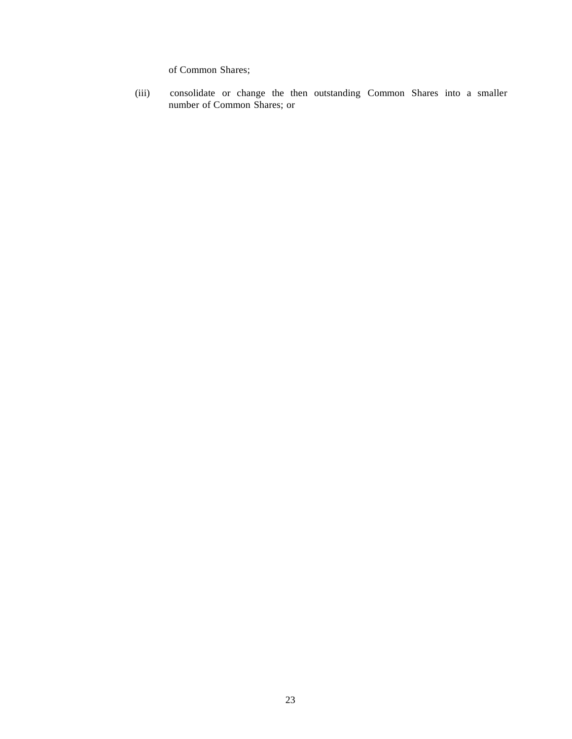of Common Shares;

(iii) consolidate or change the then outstanding Common Shares into a smaller number of Common Shares; or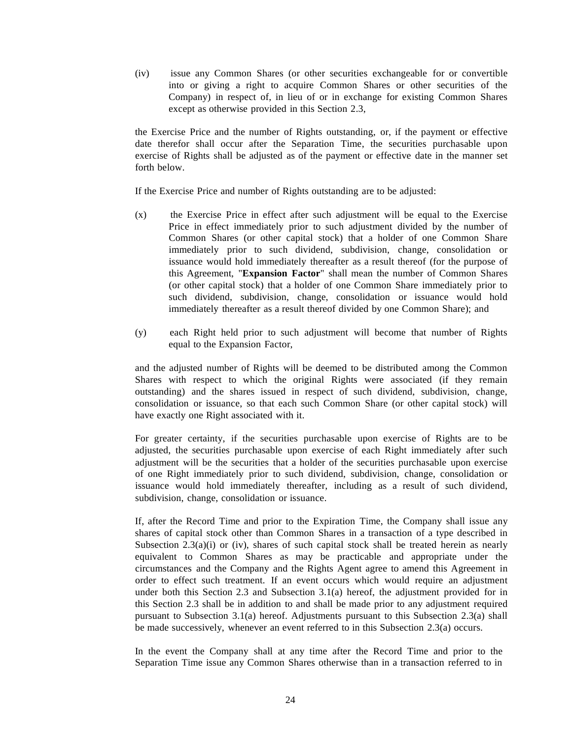(iv) issue any Common Shares (or other securities exchangeable for or convertible into or giving a right to acquire Common Shares or other securities of the Company) in respect of, in lieu of or in exchange for existing Common Shares except as otherwise provided in this Section 2.3,

the Exercise Price and the number of Rights outstanding, or, if the payment or effective date therefor shall occur after the Separation Time, the securities purchasable upon exercise of Rights shall be adjusted as of the payment or effective date in the manner set forth below.

If the Exercise Price and number of Rights outstanding are to be adjusted:

- (x) the Exercise Price in effect after such adjustment will be equal to the Exercise Price in effect immediately prior to such adjustment divided by the number of Common Shares (or other capital stock) that a holder of one Common Share immediately prior to such dividend, subdivision, change, consolidation or issuance would hold immediately thereafter as a result thereof (for the purpose of this Agreement, "**Expansion Factor**" shall mean the number of Common Shares (or other capital stock) that a holder of one Common Share immediately prior to such dividend, subdivision, change, consolidation or issuance would hold immediately thereafter as a result thereof divided by one Common Share); and
- (y) each Right held prior to such adjustment will become that number of Rights equal to the Expansion Factor,

and the adjusted number of Rights will be deemed to be distributed among the Common Shares with respect to which the original Rights were associated (if they remain outstanding) and the shares issued in respect of such dividend, subdivision, change, consolidation or issuance, so that each such Common Share (or other capital stock) will have exactly one Right associated with it.

For greater certainty, if the securities purchasable upon exercise of Rights are to be adjusted, the securities purchasable upon exercise of each Right immediately after such adjustment will be the securities that a holder of the securities purchasable upon exercise of one Right immediately prior to such dividend, subdivision, change, consolidation or issuance would hold immediately thereafter, including as a result of such dividend, subdivision, change, consolidation or issuance.

If, after the Record Time and prior to the Expiration Time, the Company shall issue any shares of capital stock other than Common Shares in a transaction of a type described in Subsection  $2.3(a)(i)$  or (iv), shares of such capital stock shall be treated herein as nearly equivalent to Common Shares as may be practicable and appropriate under the circumstances and the Company and the Rights Agent agree to amend this Agreement in order to effect such treatment. If an event occurs which would require an adjustment under both this Section 2.3 and Subsection 3.1(a) hereof, the adjustment provided for in this Section 2.3 shall be in addition to and shall be made prior to any adjustment required pursuant to Subsection 3.1(a) hereof. Adjustments pursuant to this Subsection 2.3(a) shall be made successively, whenever an event referred to in this Subsection 2.3(a) occurs.

In the event the Company shall at any time after the Record Time and prior to the Separation Time issue any Common Shares otherwise than in a transaction referred to in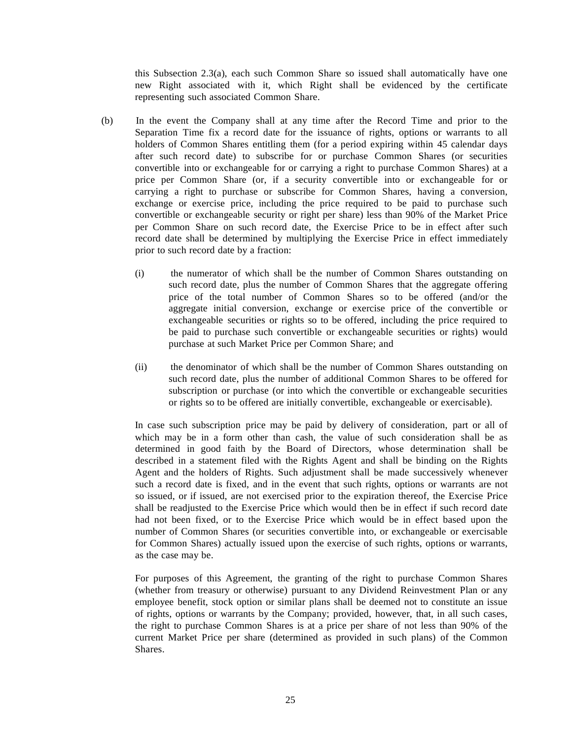this Subsection 2.3(a), each such Common Share so issued shall automatically have one new Right associated with it, which Right shall be evidenced by the certificate representing such associated Common Share.

- (b) In the event the Company shall at any time after the Record Time and prior to the Separation Time fix a record date for the issuance of rights, options or warrants to all holders of Common Shares entitling them (for a period expiring within 45 calendar days after such record date) to subscribe for or purchase Common Shares (or securities convertible into or exchangeable for or carrying a right to purchase Common Shares) at a price per Common Share (or, if a security convertible into or exchangeable for or carrying a right to purchase or subscribe for Common Shares, having a conversion, exchange or exercise price, including the price required to be paid to purchase such convertible or exchangeable security or right per share) less than 90% of the Market Price per Common Share on such record date, the Exercise Price to be in effect after such record date shall be determined by multiplying the Exercise Price in effect immediately prior to such record date by a fraction:
	- (i) the numerator of which shall be the number of Common Shares outstanding on such record date, plus the number of Common Shares that the aggregate offering price of the total number of Common Shares so to be offered (and/or the aggregate initial conversion, exchange or exercise price of the convertible or exchangeable securities or rights so to be offered, including the price required to be paid to purchase such convertible or exchangeable securities or rights) would purchase at such Market Price per Common Share; and
	- (ii) the denominator of which shall be the number of Common Shares outstanding on such record date, plus the number of additional Common Shares to be offered for subscription or purchase (or into which the convertible or exchangeable securities or rights so to be offered are initially convertible, exchangeable or exercisable).

In case such subscription price may be paid by delivery of consideration, part or all of which may be in a form other than cash, the value of such consideration shall be as determined in good faith by the Board of Directors, whose determination shall be described in a statement filed with the Rights Agent and shall be binding on the Rights Agent and the holders of Rights. Such adjustment shall be made successively whenever such a record date is fixed, and in the event that such rights, options or warrants are not so issued, or if issued, are not exercised prior to the expiration thereof, the Exercise Price shall be readjusted to the Exercise Price which would then be in effect if such record date had not been fixed, or to the Exercise Price which would be in effect based upon the number of Common Shares (or securities convertible into, or exchangeable or exercisable for Common Shares) actually issued upon the exercise of such rights, options or warrants, as the case may be.

For purposes of this Agreement, the granting of the right to purchase Common Shares (whether from treasury or otherwise) pursuant to any Dividend Reinvestment Plan or any employee benefit, stock option or similar plans shall be deemed not to constitute an issue of rights, options or warrants by the Company; provided, however, that, in all such cases, the right to purchase Common Shares is at a price per share of not less than 90% of the current Market Price per share (determined as provided in such plans) of the Common Shares.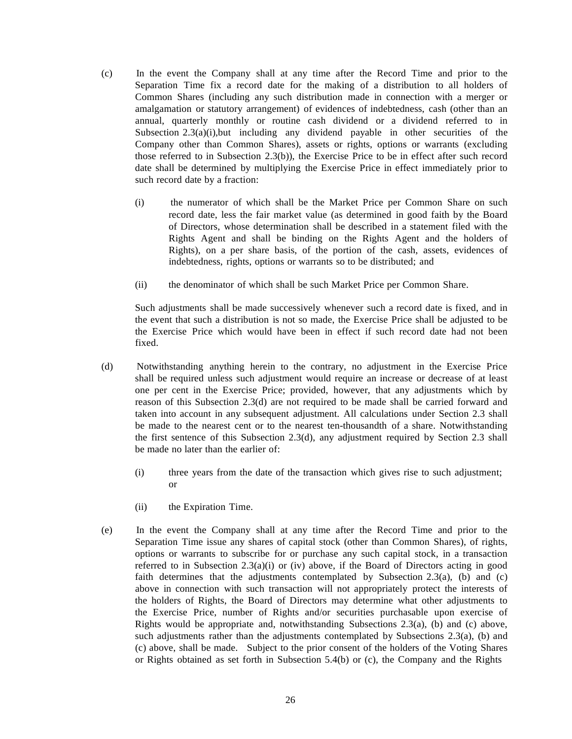- (c) In the event the Company shall at any time after the Record Time and prior to the Separation Time fix a record date for the making of a distribution to all holders of Common Shares (including any such distribution made in connection with a merger or amalgamation or statutory arrangement) of evidences of indebtedness, cash (other than an annual, quarterly monthly or routine cash dividend or a dividend referred to in Subsection  $2.3(a)(i)$ , but including any dividend payable in other securities of the Company other than Common Shares), assets or rights, options or warrants (excluding those referred to in Subsection 2.3(b)), the Exercise Price to be in effect after such record date shall be determined by multiplying the Exercise Price in effect immediately prior to such record date by a fraction:
	- (i) the numerator of which shall be the Market Price per Common Share on such record date, less the fair market value (as determined in good faith by the Board of Directors, whose determination shall be described in a statement filed with the Rights Agent and shall be binding on the Rights Agent and the holders of Rights), on a per share basis, of the portion of the cash, assets, evidences of indebtedness, rights, options or warrants so to be distributed; and
	- (ii) the denominator of which shall be such Market Price per Common Share.

Such adjustments shall be made successively whenever such a record date is fixed, and in the event that such a distribution is not so made, the Exercise Price shall be adjusted to be the Exercise Price which would have been in effect if such record date had not been fixed.

- (d) Notwithstanding anything herein to the contrary, no adjustment in the Exercise Price shall be required unless such adjustment would require an increase or decrease of at least one per cent in the Exercise Price; provided, however, that any adjustments which by reason of this Subsection 2.3(d) are not required to be made shall be carried forward and taken into account in any subsequent adjustment. All calculations under Section 2.3 shall be made to the nearest cent or to the nearest ten-thousandth of a share. Notwithstanding the first sentence of this Subsection 2.3(d), any adjustment required by Section 2.3 shall be made no later than the earlier of
	- (i) three years from the date of the transaction which gives rise to such adjustment; or
	- (ii) the Expiration Time.
- (e) In the event the Company shall at any time after the Record Time and prior to the Separation Time issue any shares of capital stock (other than Common Shares), of rights, options or warrants to subscribe for or purchase any such capital stock, in a transaction referred to in Subsection 2.3(a)(i) or (iv) above, if the Board of Directors acting in good faith determines that the adjustments contemplated by Subsection  $2.3(a)$ , (b) and (c) above in connection with such transaction will not appropriately protect the interests of the holders of Rights, the Board of Directors may determine what other adjustments to the Exercise Price, number of Rights and/or securities purchasable upon exercise of Rights would be appropriate and, notwithstanding Subsections 2.3(a), (b) and (c) above, such adjustments rather than the adjustments contemplated by Subsections  $2.3(a)$ , (b) and (c) above, shall be made. Subject to the prior consent of the holders of the Voting Shares or Rights obtained as set forth in Subsection 5.4(b) or (c), the Company and the Rights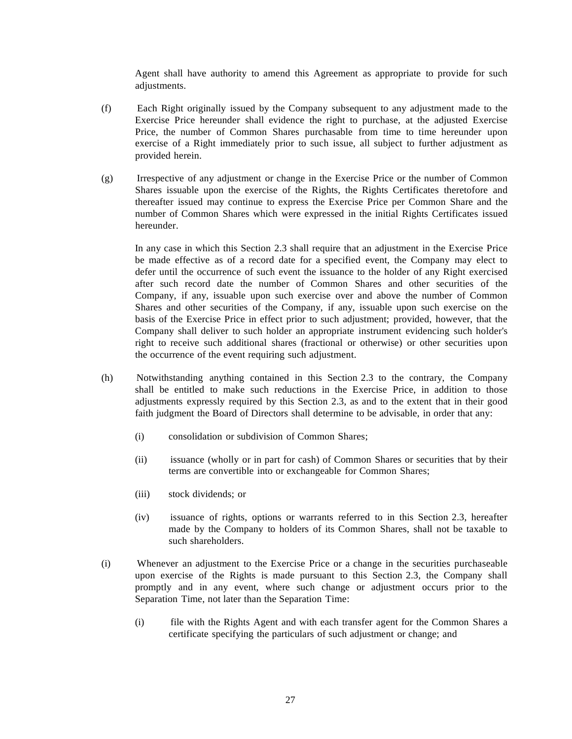Agent shall have authority to amend this Agreement as appropriate to provide for such adjustments.

- (f) Each Right originally issued by the Company subsequent to any adjustment made to the Exercise Price hereunder shall evidence the right to purchase, at the adjusted Exercise Price, the number of Common Shares purchasable from time to time hereunder upon exercise of a Right immediately prior to such issue, all subject to further adjustment as provided herein.
- (g) Irrespective of any adjustment or change in the Exercise Price or the number of Common Shares issuable upon the exercise of the Rights, the Rights Certificates theretofore and thereafter issued may continue to express the Exercise Price per Common Share and the number of Common Shares which were expressed in the initial Rights Certificates issued hereunder.

In any case in which this Section 2.3 shall require that an adjustment in the Exercise Price be made effective as of a record date for a specified event, the Company may elect to defer until the occurrence of such event the issuance to the holder of any Right exercised after such record date the number of Common Shares and other securities of the Company, if any, issuable upon such exercise over and above the number of Common Shares and other securities of the Company, if any, issuable upon such exercise on the basis of the Exercise Price in effect prior to such adjustment; provided, however, that the Company shall deliver to such holder an appropriate instrument evidencing such holder's right to receive such additional shares (fractional or otherwise) or other securities upon the occurrence of the event requiring such adjustment.

- (h) Notwithstanding anything contained in this Section 2.3 to the contrary, the Company shall be entitled to make such reductions in the Exercise Price, in addition to those adjustments expressly required by this Section 2.3, as and to the extent that in their good faith judgment the Board of Directors shall determine to be advisable, in order that any:
	- (i) consolidation or subdivision of Common Shares;
	- (ii) issuance (wholly or in part for cash) of Common Shares or securities that by their terms are convertible into or exchangeable for Common Shares;
	- (iii) stock dividends; or
	- (iv) issuance of rights, options or warrants referred to in this Section 2.3, hereafter made by the Company to holders of its Common Shares, shall not be taxable to such shareholders.
- (i) Whenever an adjustment to the Exercise Price or a change in the securities purchaseable upon exercise of the Rights is made pursuant to this Section 2.3, the Company shall promptly and in any event, where such change or adjustment occurs prior to the Separation Time, not later than the Separation Time:
	- (i) file with the Rights Agent and with each transfer agent for the Common Shares a certificate specifying the particulars of such adjustment or change; and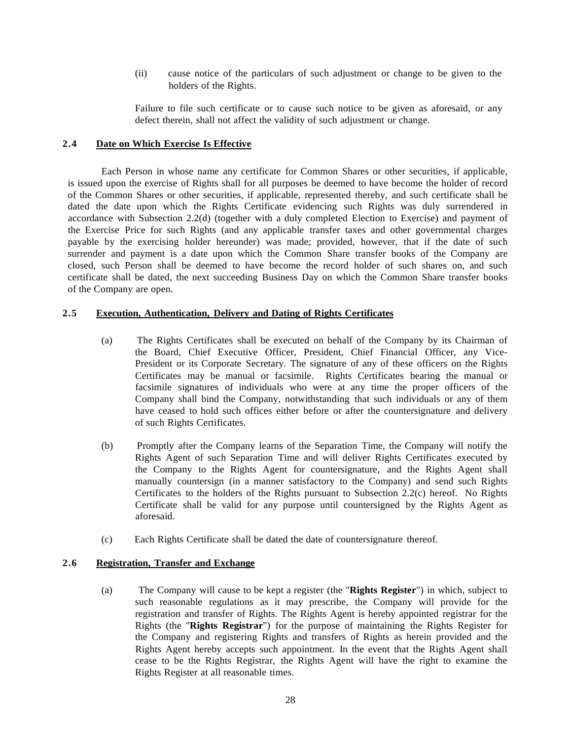(ii) cause notice of the particulars of such adjustment or change to be given to the holders of the Rights.

Failure to file such certificate or to cause such notice to be given as aforesaid, or any defect therein, shall not affect the validity of such adjustment or change.

### <span id="page-27-0"></span>**2.4 Date on Which Exercise Is Effective**

Each Person in whose name any certificate for Common Shares or other securities, if applicable, is issued upon the exercise of Rights shall for all purposes be deemed to have become the holder of record of the Common Shares or other securities, if applicable, represented thereby, and such certificate shall be dated the date upon which the Rights Certificate evidencing such Rights was duly surrendered in accordance with Subsection 2.2(d) (together with a duly completed Election to Exercise) and payment of the Exercise Price for such Rights (and any applicable transfer taxes and other governmental charges payable by the exercising holder hereunder) was made; provided, however, that if the date of such surrender and payment is a date upon which the Common Share transfer books of the Company are closed, such Person shall be deemed to have become the record holder of such shares on, and such certificate shall be dated, the next succeeding Business Day on which the Common Share transfer books of the Company are open.

## <span id="page-27-1"></span>**2.5 Execution, Authentication, Delivery and Dating of Rights Certificates**

- (a) The Rights Certificates shall be executed on behalf of the Company by its Chairman of the Board, Chief Executive Officer, President, Chief Financial Officer, any Vice-President or its Corporate Secretary. The signature of any of these officers on the Rights Certificates may be manual or facsimile. Rights Certificates bearing the manual or facsimile signatures of individuals who were at any time the proper officers of the Company shall bind the Company, notwithstanding that such individuals or any of them have ceased to hold such offices either before or after the countersignature and delivery of such Rights Certificates.
- (b) Promptly after the Company learns of the Separation Time, the Company will notify the Rights Agent of such Separation Time and will deliver Rights Certificates executed by the Company to the Rights Agent for countersignature, and the Rights Agent shall manually countersign (in a manner satisfactory to the Company) and send such Rights Certificates to the holders of the Rights pursuant to Subsection 2.2(c) hereof. No Rights Certificate shall be valid for any purpose until countersigned by the Rights Agent as aforesaid.
- (c) Each Rights Certificate shall be dated the date of countersignature thereof.

## <span id="page-27-2"></span>**2.6 Registration, Transfer and Exchange**

(a) The Company will cause to be kept a register (the "**Rights Register**") in which, subject to such reasonable regulations as it may prescribe, the Company will provide for the registration and transfer of Rights. The Rights Agent is hereby appointed registrar for the Rights (the "**Rights Registrar**") for the purpose of maintaining the Rights Register for the Company and registering Rights and transfers of Rights as herein provided and the Rights Agent hereby accepts such appointment. In the event that the Rights Agent shall cease to be the Rights Registrar, the Rights Agent will have the right to examine the Rights Register at all reasonable times.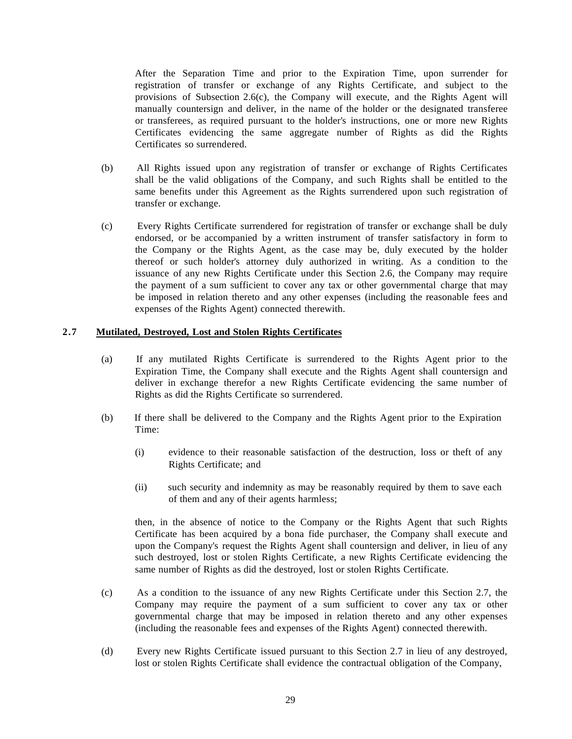After the Separation Time and prior to the Expiration Time, upon surrender for registration of transfer or exchange of any Rights Certificate, and subject to the provisions of Subsection 2.6(c), the Company will execute, and the Rights Agent will manually countersign and deliver, in the name of the holder or the designated transferee or transferees, as required pursuant to the holder's instructions, one or more new Rights Certificates evidencing the same aggregate number of Rights as did the Rights Certificates so surrendered.

- (b) All Rights issued upon any registration of transfer or exchange of Rights Certificates shall be the valid obligations of the Company, and such Rights shall be entitled to the same benefits under this Agreement as the Rights surrendered upon such registration of transfer or exchange.
- (c) Every Rights Certificate surrendered for registration of transfer or exchange shall be duly endorsed, or be accompanied by a written instrument of transfer satisfactory in form to the Company or the Rights Agent, as the case may be, duly executed by the holder thereof or such holder's attorney duly authorized in writing. As a condition to the issuance of any new Rights Certificate under this Section 2.6, the Company may require the payment of a sum sufficient to cover any tax or other governmental charge that may be imposed in relation thereto and any other expenses (including the reasonable fees and expenses of the Rights Agent) connected therewith.

#### <span id="page-28-0"></span>**2.7 Mutilated, Destroyed, Lost and Stolen Rights Certificates**

- (a) If any mutilated Rights Certificate is surrendered to the Rights Agent prior to the Expiration Time, the Company shall execute and the Rights Agent shall countersign and deliver in exchange therefor a new Rights Certificate evidencing the same number of Rights as did the Rights Certificate so surrendered.
- (b) If there shall be delivered to the Company and the Rights Agent prior to the Expiration Time:
	- (i) evidence to their reasonable satisfaction of the destruction, loss or theft of any Rights Certificate; and
	- (ii) such security and indemnity as may be reasonably required by them to save each of them and any of their agents harmless;

then, in the absence of notice to the Company or the Rights Agent that such Rights Certificate has been acquired by a bona fide purchaser, the Company shall execute and upon the Company's request the Rights Agent shall countersign and deliver, in lieu of any such destroyed, lost or stolen Rights Certificate, a new Rights Certificate evidencing the same number of Rights as did the destroyed, lost or stolen Rights Certificate.

- (c) As a condition to the issuance of any new Rights Certificate under this Section 2.7, the Company may require the payment of a sum sufficient to cover any tax or other governmental charge that may be imposed in relation thereto and any other expenses (including the reasonable fees and expenses of the Rights Agent) connected therewith.
- (d) Every new Rights Certificate issued pursuant to this Section 2.7 in lieu of any destroyed, lost or stolen Rights Certificate shall evidence the contractual obligation of the Company,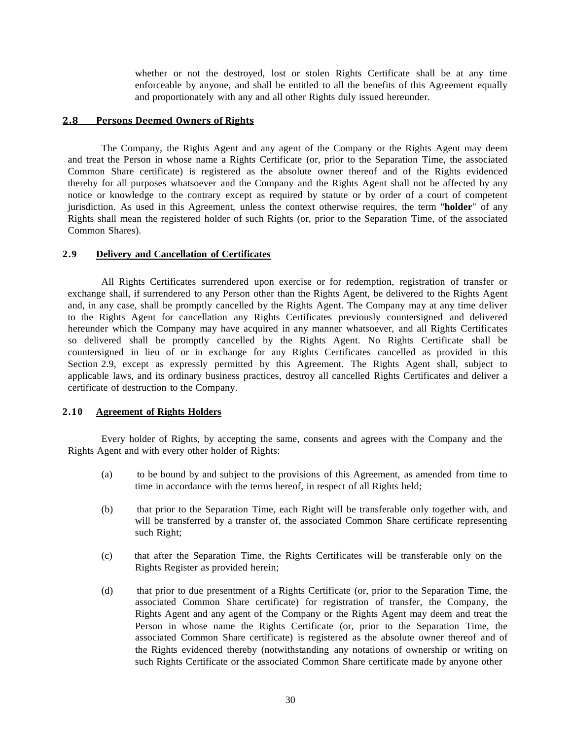whether or not the destroyed, lost or stolen Rights Certificate shall be at any time enforceable by anyone, and shall be entitled to all the benefits of this Agreement equally and proportionately with any and all other Rights duly issued hereunder.

#### <span id="page-29-0"></span>**2.8 Persons Deemed Owners of Rights**

The Company, the Rights Agent and any agent of the Company or the Rights Agent may deem and treat the Person in whose name a Rights Certificate (or, prior to the Separation Time, the associated Common Share certificate) is registered as the absolute owner thereof and of the Rights evidenced thereby for all purposes whatsoever and the Company and the Rights Agent shall not be affected by any notice or knowledge to the contrary except as required by statute or by order of a court of competent jurisdiction. As used in this Agreement, unless the context otherwise requires, the term "**holder**" of any Rights shall mean the registered holder of such Rights (or, prior to the Separation Time, of the associated Common Shares).

#### <span id="page-29-1"></span>**2.9 Delivery and Cancellation of Certificates**

All Rights Certificates surrendered upon exercise or for redemption, registration of transfer or exchange shall, if surrendered to any Person other than the Rights Agent, be delivered to the Rights Agent and, in any case, shall be promptly cancelled by the Rights Agent. The Company may at any time deliver to the Rights Agent for cancellation any Rights Certificates previously countersigned and delivered hereunder which the Company may have acquired in any manner whatsoever, and all Rights Certificates so delivered shall be promptly cancelled by the Rights Agent. No Rights Certificate shall be countersigned in lieu of or in exchange for any Rights Certificates cancelled as provided in this Section 2.9, except as expressly permitted by this Agreement. The Rights Agent shall, subject to applicable laws, and its ordinary business practices, destroy all cancelled Rights Certificates and deliver a certificate of destruction to the Company.

#### <span id="page-29-2"></span>**2.10 Agreement of Rights Holders**

Every holder of Rights, by accepting the same, consents and agrees with the Company and the Rights Agent and with every other holder of Rights:

- (a) to be bound by and subject to the provisions of this Agreement, as amended from time to time in accordance with the terms hereof, in respect of all Rights held;
- (b) that prior to the Separation Time, each Right will be transferable only together with, and will be transferred by a transfer of, the associated Common Share certificate representing such Right;
- (c) that after the Separation Time, the Rights Certificates will be transferable only on the Rights Register as provided herein;
- (d) that prior to due presentment of a Rights Certificate (or, prior to the Separation Time, the associated Common Share certificate) for registration of transfer, the Company, the Rights Agent and any agent of the Company or the Rights Agent may deem and treat the Person in whose name the Rights Certificate (or, prior to the Separation Time, the associated Common Share certificate) is registered as the absolute owner thereof and of the Rights evidenced thereby (notwithstanding any notations of ownership or writing on such Rights Certificate or the associated Common Share certificate made by anyone other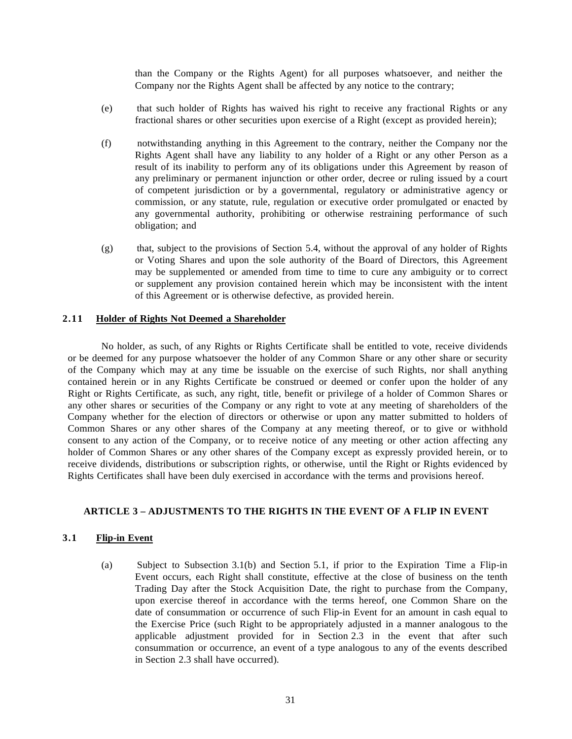than the Company or the Rights Agent) for all purposes whatsoever, and neither the Company nor the Rights Agent shall be affected by any notice to the contrary;

- (e) that such holder of Rights has waived his right to receive any fractional Rights or any fractional shares or other securities upon exercise of a Right (except as provided herein);
- (f) notwithstanding anything in this Agreement to the contrary, neither the Company nor the Rights Agent shall have any liability to any holder of a Right or any other Person as a result of its inability to perform any of its obligations under this Agreement by reason of any preliminary or permanent injunction or other order, decree or ruling issued by a court of competent jurisdiction or by a governmental, regulatory or administrative agency or commission, or any statute, rule, regulation or executive order promulgated or enacted by any governmental authority, prohibiting or otherwise restraining performance of such obligation; and
- (g) that, subject to the provisions of Section 5.4, without the approval of any holder of Rights or Voting Shares and upon the sole authority of the Board of Directors, this Agreement may be supplemented or amended from time to time to cure any ambiguity or to correct or supplement any provision contained herein which may be inconsistent with the intent of this Agreement or is otherwise defective, as provided herein.

## <span id="page-30-0"></span>**2.11 Holder of Rights Not Deemed a Shareholder**

No holder, as such, of any Rights or Rights Certificate shall be entitled to vote, receive dividends or be deemed for any purpose whatsoever the holder of any Common Share or any other share or security of the Company which may at any time be issuable on the exercise of such Rights, nor shall anything contained herein or in any Rights Certificate be construed or deemed or confer upon the holder of any Right or Rights Certificate, as such, any right, title, benefit or privilege of a holder of Common Shares or any other shares or securities of the Company or any right to vote at any meeting of shareholders of the Company whether for the election of directors or otherwise or upon any matter submitted to holders of Common Shares or any other shares of the Company at any meeting thereof, or to give or withhold consent to any action of the Company, or to receive notice of any meeting or other action affecting any holder of Common Shares or any other shares of the Company except as expressly provided herein, or to receive dividends, distributions or subscription rights, or otherwise, until the Right or Rights evidenced by Rights Certificates shall have been duly exercised in accordance with the terms and provisions hereof.

## <span id="page-30-1"></span>**ARTICLE 3 – ADJUSTMENTS TO THE RIGHTS IN THE EVENT OF A FLIP IN EVENT**

## <span id="page-30-2"></span>**3.1 Flip-in Event**

(a) Subject to Subsection 3.1(b) and Section 5.1, if prior to the Expiration Time a Flip-in Event occurs, each Right shall constitute, effective at the close of business on the tenth Trading Day after the Stock Acquisition Date, the right to purchase from the Company, upon exercise thereof in accordance with the terms hereof, one Common Share on the date of consummation or occurrence of such Flip-in Event for an amount in cash equal to the Exercise Price (such Right to be appropriately adjusted in a manner analogous to the applicable adjustment provided for in Section 2.3 in the event that after such consummation or occurrence, an event of a type analogous to any of the events described in Section 2.3 shall have occurred).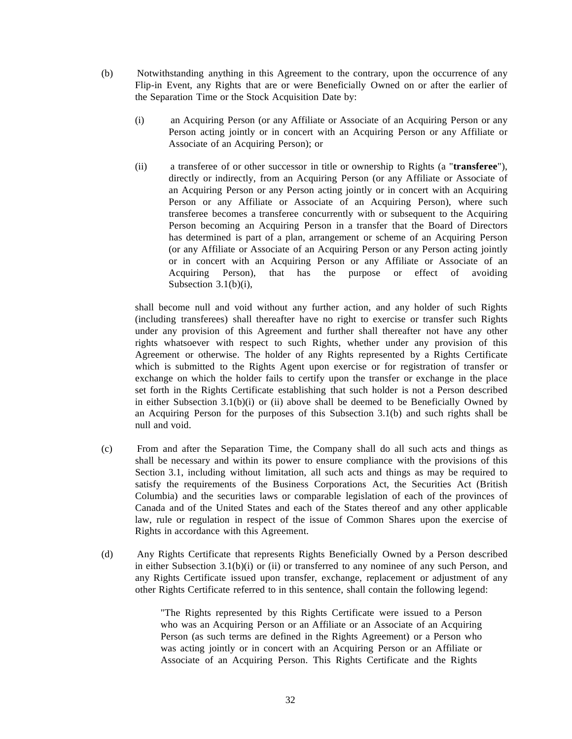- (b) Notwithstanding anything in this Agreement to the contrary, upon the occurrence of any Flip-in Event, any Rights that are or were Beneficially Owned on or after the earlier of the Separation Time or the Stock Acquisition Date by:
	- (i) an Acquiring Person (or any Affiliate or Associate of an Acquiring Person or any Person acting jointly or in concert with an Acquiring Person or any Affiliate or Associate of an Acquiring Person); or
	- (ii) a transferee of or other successor in title or ownership to Rights (a "**transferee**"), directly or indirectly, from an Acquiring Person (or any Affiliate or Associate of an Acquiring Person or any Person acting jointly or in concert with an Acquiring Person or any Affiliate or Associate of an Acquiring Person), where such transferee becomes a transferee concurrently with or subsequent to the Acquiring Person becoming an Acquiring Person in a transfer that the Board of Directors has determined is part of a plan, arrangement or scheme of an Acquiring Person (or any Affiliate or Associate of an Acquiring Person or any Person acting jointly or in concert with an Acquiring Person or any Affiliate or Associate of an Acquiring Person), that has the purpose or effect of avoiding Subsection 3.1(b)(i),

shall become null and void without any further action, and any holder of such Rights (including transferees) shall thereafter have no right to exercise or transfer such Rights under any provision of this Agreement and further shall thereafter not have any other rights whatsoever with respect to such Rights, whether under any provision of this Agreement or otherwise. The holder of any Rights represented by a Rights Certificate which is submitted to the Rights Agent upon exercise or for registration of transfer or exchange on which the holder fails to certify upon the transfer or exchange in the place set forth in the Rights Certificate establishing that such holder is not a Person described in either Subsection  $3.1(b)(i)$  or (ii) above shall be deemed to be Beneficially Owned by an Acquiring Person for the purposes of this Subsection 3.1(b) and such rights shall be null and void.

- (c) From and after the Separation Time, the Company shall do all such acts and things as shall be necessary and within its power to ensure compliance with the provisions of this Section 3.1, including without limitation, all such acts and things as may be required to satisfy the requirements of the Business Corporations Act, the Securities Act (British Columbia) and the securities laws or comparable legislation of each of the provinces of Canada and of the United States and each of the States thereof and any other applicable law, rule or regulation in respect of the issue of Common Shares upon the exercise of Rights in accordance with this Agreement.
- (d) Any Rights Certificate that represents Rights Beneficially Owned by a Person described in either Subsection 3.1(b)(i) or (ii) or transferred to any nominee of any such Person, and any Rights Certificate issued upon transfer, exchange, replacement or adjustment of any other Rights Certificate referred to in this sentence, shall contain the following legend:

"The Rights represented by this Rights Certificate were issued to a Person who was an Acquiring Person or an Affiliate or an Associate of an Acquiring Person (as such terms are defined in the Rights Agreement) or a Person who was acting jointly or in concert with an Acquiring Person or an Affiliate or Associate of an Acquiring Person. This Rights Certificate and the Rights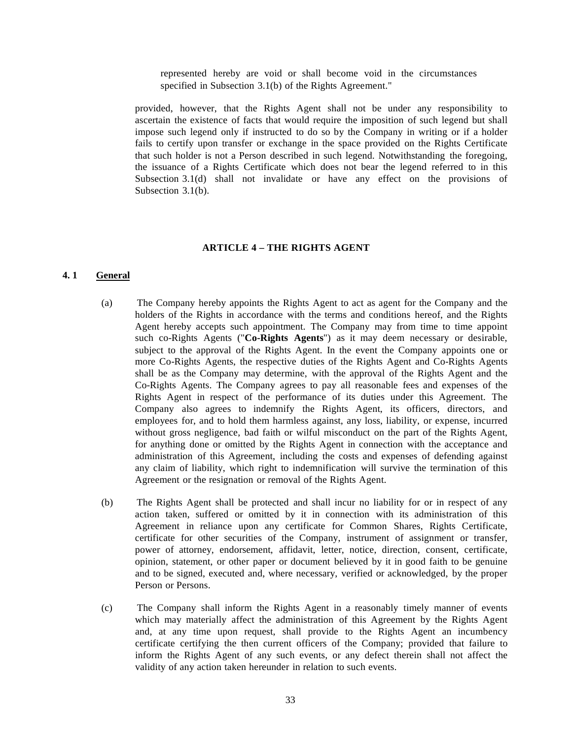represented hereby are void or shall become void in the circumstances specified in Subsection 3.1(b) of the Rights Agreement."

provided, however, that the Rights Agent shall not be under any responsibility to ascertain the existence of facts that would require the imposition of such legend but shall impose such legend only if instructed to do so by the Company in writing or if a holder fails to certify upon transfer or exchange in the space provided on the Rights Certificate that such holder is not a Person described in such legend. Notwithstanding the foregoing, the issuance of a Rights Certificate which does not bear the legend referred to in this Subsection 3.1(d) shall not invalidate or have any effect on the provisions of Subsection 3.1(b).

### **ARTICLE 4 – THE RIGHTS AGENT**

### <span id="page-32-1"></span><span id="page-32-0"></span>**4. 1 General**

- (a) The Company hereby appoints the Rights Agent to act as agent for the Company and the holders of the Rights in accordance with the terms and conditions hereof, and the Rights Agent hereby accepts such appointment. The Company may from time to time appoint such co-Rights Agents ("**Co-Rights Agents**") as it may deem necessary or desirable, subject to the approval of the Rights Agent. In the event the Company appoints one or more Co-Rights Agents, the respective duties of the Rights Agent and Co-Rights Agents shall be as the Company may determine, with the approval of the Rights Agent and the Co-Rights Agents. The Company agrees to pay all reasonable fees and expenses of the Rights Agent in respect of the performance of its duties under this Agreement. The Company also agrees to indemnify the Rights Agent, its officers, directors, and employees for, and to hold them harmless against, any loss, liability, or expense, incurred without gross negligence, bad faith or wilful misconduct on the part of the Rights Agent, for anything done or omitted by the Rights Agent in connection with the acceptance and administration of this Agreement, including the costs and expenses of defending against any claim of liability, which right to indemnification will survive the termination of this Agreement or the resignation or removal of the Rights Agent.
- (b) The Rights Agent shall be protected and shall incur no liability for or in respect of any action taken, suffered or omitted by it in connection with its administration of this Agreement in reliance upon any certificate for Common Shares, Rights Certificate, certificate for other securities of the Company, instrument of assignment or transfer, power of attorney, endorsement, affidavit, letter, notice, direction, consent, certificate, opinion, statement, or other paper or document believed by it in good faith to be genuine and to be signed, executed and, where necessary, verified or acknowledged, by the proper Person or Persons.
- (c) The Company shall inform the Rights Agent in a reasonably timely manner of events which may materially affect the administration of this Agreement by the Rights Agent and, at any time upon request, shall provide to the Rights Agent an incumbency certificate certifying the then current officers of the Company; provided that failure to inform the Rights Agent of any such events, or any defect therein shall not affect the validity of any action taken hereunder in relation to such events.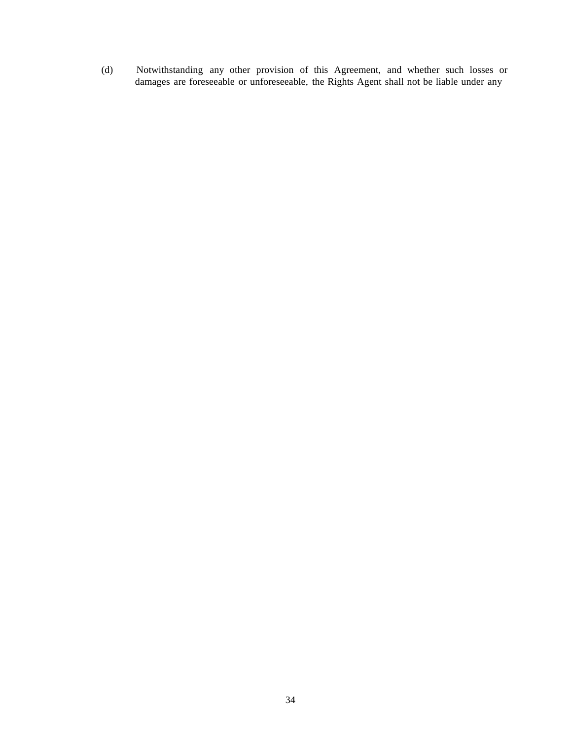(d) Notwithstanding any other provision of this Agreement, and whether such losses or damages are foreseeable or unforeseeable, the Rights Agent shall not be liable under any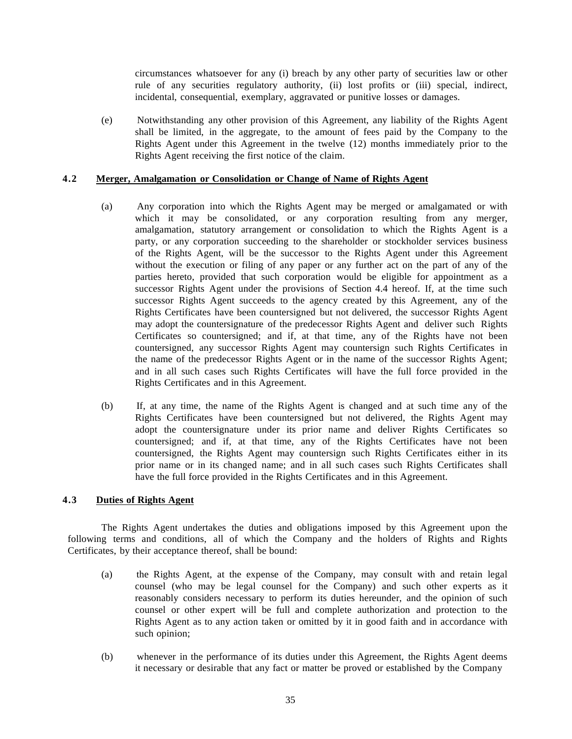circumstances whatsoever for any (i) breach by any other party of securities law or other rule of any securities regulatory authority, (ii) lost profits or (iii) special, indirect, incidental, consequential, exemplary, aggravated or punitive losses or damages.

(e) Notwithstanding any other provision of this Agreement, any liability of the Rights Agent shall be limited, in the aggregate, to the amount of fees paid by the Company to the Rights Agent under this Agreement in the twelve (12) months immediately prior to the Rights Agent receiving the first notice of the claim.

### <span id="page-34-0"></span>**4.2 Merger, Amalgamation or Consolidation or Change of Name of Rights Agent**

- (a) Any corporation into which the Rights Agent may be merged or amalgamated or with which it may be consolidated, or any corporation resulting from any merger, amalgamation, statutory arrangement or consolidation to which the Rights Agent is a party, or any corporation succeeding to the shareholder or stockholder services business of the Rights Agent, will be the successor to the Rights Agent under this Agreement without the execution or filing of any paper or any further act on the part of any of the parties hereto, provided that such corporation would be eligible for appointment as a successor Rights Agent under the provisions of Section 4.4 hereof. If, at the time such successor Rights Agent succeeds to the agency created by this Agreement, any of the Rights Certificates have been countersigned but not delivered, the successor Rights Agent may adopt the countersignature of the predecessor Rights Agent and deliver such Rights Certificates so countersigned; and if, at that time, any of the Rights have not been countersigned, any successor Rights Agent may countersign such Rights Certificates in the name of the predecessor Rights Agent or in the name of the successor Rights Agent; and in all such cases such Rights Certificates will have the full force provided in the Rights Certificates and in this Agreement.
- (b) If, at any time, the name of the Rights Agent is changed and at such time any of the Rights Certificates have been countersigned but not delivered, the Rights Agent may adopt the countersignature under its prior name and deliver Rights Certificates so countersigned; and if, at that time, any of the Rights Certificates have not been countersigned, the Rights Agent may countersign such Rights Certificates either in its prior name or in its changed name; and in all such cases such Rights Certificates shall have the full force provided in the Rights Certificates and in this Agreement.

## <span id="page-34-1"></span>**4.3 Duties of Rights Agent**

The Rights Agent undertakes the duties and obligations imposed by this Agreement upon the following terms and conditions, all of which the Company and the holders of Rights and Rights Certificates, by their acceptance thereof, shall be bound:

- (a) the Rights Agent, at the expense of the Company, may consult with and retain legal counsel (who may be legal counsel for the Company) and such other experts as it reasonably considers necessary to perform its duties hereunder, and the opinion of such counsel or other expert will be full and complete authorization and protection to the Rights Agent as to any action taken or omitted by it in good faith and in accordance with such opinion;
- (b) whenever in the performance of its duties under this Agreement, the Rights Agent deems it necessary or desirable that any fact or matter be proved or established by the Company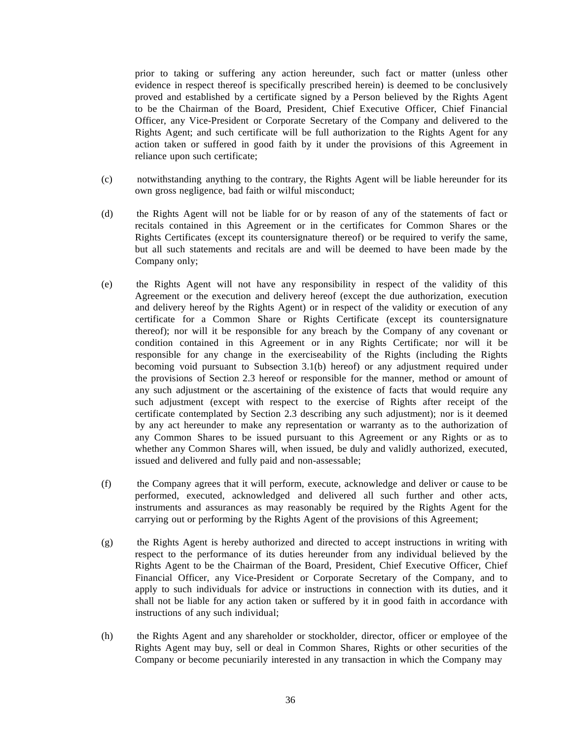prior to taking or suffering any action hereunder, such fact or matter (unless other evidence in respect thereof is specifically prescribed herein) is deemed to be conclusively proved and established by a certificate signed by a Person believed by the Rights Agent to be the Chairman of the Board, President, Chief Executive Officer, Chief Financial Officer, any Vice-President or Corporate Secretary of the Company and delivered to the Rights Agent; and such certificate will be full authorization to the Rights Agent for any action taken or suffered in good faith by it under the provisions of this Agreement in reliance upon such certificate;

- (c) notwithstanding anything to the contrary, the Rights Agent will be liable hereunder for its own gross negligence, bad faith or wilful misconduct;
- (d) the Rights Agent will not be liable for or by reason of any of the statements of fact or recitals contained in this Agreement or in the certificates for Common Shares or the Rights Certificates (except its countersignature thereof) or be required to verify the same, but all such statements and recitals are and will be deemed to have been made by the Company only;
- (e) the Rights Agent will not have any responsibility in respect of the validity of this Agreement or the execution and delivery hereof (except the due authorization, execution and delivery hereof by the Rights Agent) or in respect of the validity or execution of any certificate for a Common Share or Rights Certificate (except its countersignature thereof); nor will it be responsible for any breach by the Company of any covenant or condition contained in this Agreement or in any Rights Certificate; nor will it be responsible for any change in the exerciseability of the Rights (including the Rights becoming void pursuant to Subsection 3.1(b) hereof) or any adjustment required under the provisions of Section 2.3 hereof or responsible for the manner, method or amount of any such adjustment or the ascertaining of the existence of facts that would require any such adjustment (except with respect to the exercise of Rights after receipt of the certificate contemplated by Section 2.3 describing any such adjustment); nor is it deemed by any act hereunder to make any representation or warranty as to the authorization of any Common Shares to be issued pursuant to this Agreement or any Rights or as to whether any Common Shares will, when issued, be duly and validly authorized, executed, issued and delivered and fully paid and non-assessable;
- (f) the Company agrees that it will perform, execute, acknowledge and deliver or cause to be performed, executed, acknowledged and delivered all such further and other acts, instruments and assurances as may reasonably be required by the Rights Agent for the carrying out or performing by the Rights Agent of the provisions of this Agreement;
- (g) the Rights Agent is hereby authorized and directed to accept instructions in writing with respect to the performance of its duties hereunder from any individual believed by the Rights Agent to be the Chairman of the Board, President, Chief Executive Officer, Chief Financial Officer, any Vice-President or Corporate Secretary of the Company, and to apply to such individuals for advice or instructions in connection with its duties, and it shall not be liable for any action taken or suffered by it in good faith in accordance with instructions of any such individual;
- (h) the Rights Agent and any shareholder or stockholder, director, officer or employee of the Rights Agent may buy, sell or deal in Common Shares, Rights or other securities of the Company or become pecuniarily interested in any transaction in which the Company may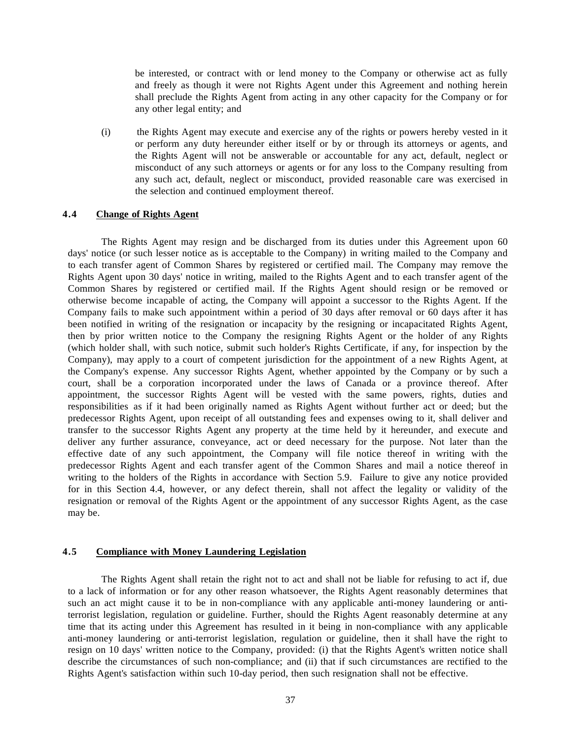be interested, or contract with or lend money to the Company or otherwise act as fully and freely as though it were not Rights Agent under this Agreement and nothing herein shall preclude the Rights Agent from acting in any other capacity for the Company or for any other legal entity; and

(i) the Rights Agent may execute and exercise any of the rights or powers hereby vested in it or perform any duty hereunder either itself or by or through its attorneys or agents, and the Rights Agent will not be answerable or accountable for any act, default, neglect or misconduct of any such attorneys or agents or for any loss to the Company resulting from any such act, default, neglect or misconduct, provided reasonable care was exercised in the selection and continued employment thereof.

## <span id="page-36-0"></span>**4.4 Change of Rights Agent**

The Rights Agent may resign and be discharged from its duties under this Agreement upon 60 days' notice (or such lesser notice as is acceptable to the Company) in writing mailed to the Company and to each transfer agent of Common Shares by registered or certified mail. The Company may remove the Rights Agent upon 30 days' notice in writing, mailed to the Rights Agent and to each transfer agent of the Common Shares by registered or certified mail. If the Rights Agent should resign or be removed or otherwise become incapable of acting, the Company will appoint a successor to the Rights Agent. If the Company fails to make such appointment within a period of 30 days after removal or 60 days after it has been notified in writing of the resignation or incapacity by the resigning or incapacitated Rights Agent, then by prior written notice to the Company the resigning Rights Agent or the holder of any Rights (which holder shall, with such notice, submit such holder's Rights Certificate, if any, for inspection by the Company), may apply to a court of competent jurisdiction for the appointment of a new Rights Agent, at the Company's expense. Any successor Rights Agent, whether appointed by the Company or by such a court, shall be a corporation incorporated under the laws of Canada or a province thereof. After appointment, the successor Rights Agent will be vested with the same powers, rights, duties and responsibilities as if it had been originally named as Rights Agent without further act or deed; but the predecessor Rights Agent, upon receipt of all outstanding fees and expenses owing to it, shall deliver and transfer to the successor Rights Agent any property at the time held by it hereunder, and execute and deliver any further assurance, conveyance, act or deed necessary for the purpose. Not later than the effective date of any such appointment, the Company will file notice thereof in writing with the predecessor Rights Agent and each transfer agent of the Common Shares and mail a notice thereof in writing to the holders of the Rights in accordance with Section 5.9. Failure to give any notice provided for in this Section 4.4, however, or any defect therein, shall not affect the legality or validity of the resignation or removal of the Rights Agent or the appointment of any successor Rights Agent, as the case may be.

#### <span id="page-36-1"></span>**4.5 Compliance with Money Laundering Legislation**

The Rights Agent shall retain the right not to act and shall not be liable for refusing to act if, due to a lack of information or for any other reason whatsoever, the Rights Agent reasonably determines that such an act might cause it to be in non-compliance with any applicable anti-money laundering or antiterrorist legislation, regulation or guideline. Further, should the Rights Agent reasonably determine at any time that its acting under this Agreement has resulted in it being in non-compliance with any applicable anti-money laundering or anti-terrorist legislation, regulation or guideline, then it shall have the right to resign on 10 days' written notice to the Company, provided: (i) that the Rights Agent's written notice shall describe the circumstances of such non-compliance; and (ii) that if such circumstances are rectified to the Rights Agent's satisfaction within such 10-day period, then such resignation shall not be effective.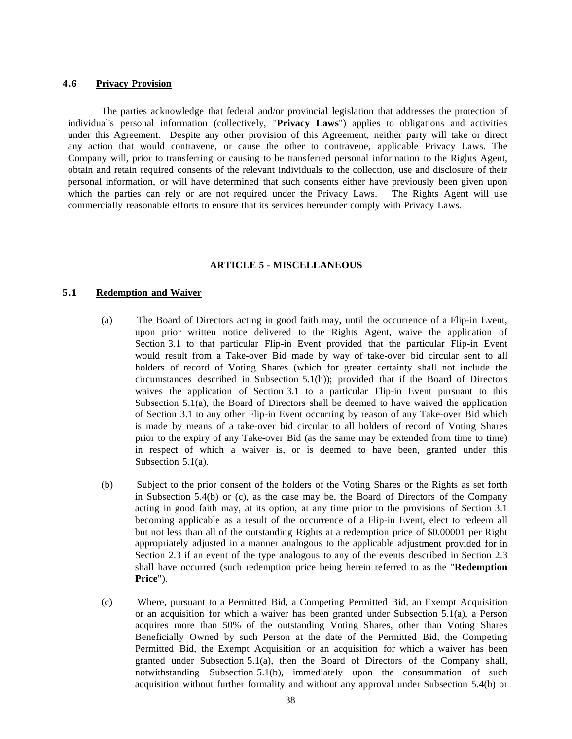#### <span id="page-37-0"></span>**4.6 Privacy Provision**

The parties acknowledge that federal and/or provincial legislation that addresses the protection of individual's personal information (collectively, "**Privacy Laws**") applies to obligations and activities under this Agreement. Despite any other provision of this Agreement, neither party will take or direct any action that would contravene, or cause the other to contravene, applicable Privacy Laws. The Company will, prior to transferring or causing to be transferred personal information to the Rights Agent, obtain and retain required consents of the relevant individuals to the collection, use and disclosure of their personal information, or will have determined that such consents either have previously been given upon which the parties can rely or are not required under the Privacy Laws. The Rights Agent will use commercially reasonable efforts to ensure that its services hereunder comply with Privacy Laws.

#### **ARTICLE 5 - MISCELLANEOUS**

#### <span id="page-37-2"></span><span id="page-37-1"></span>**5.1 Redemption and Waiver**

- (a) The Board of Directors acting in good faith may, until the occurrence of a Flip-in Event, upon prior written notice delivered to the Rights Agent, waive the application of Section 3.1 to that particular Flip-in Event provided that the particular Flip-in Event would result from a Take-over Bid made by way of take-over bid circular sent to all holders of record of Voting Shares (which for greater certainty shall not include the circumstances described in Subsection 5.1(h)); provided that if the Board of Directors waives the application of Section 3.1 to a particular Flip-in Event pursuant to this Subsection 5.1(a), the Board of Directors shall be deemed to have waived the application of Section 3.1 to any other Flip-in Event occurring by reason of any Take-over Bid which is made by means of a take-over bid circular to all holders of record of Voting Shares prior to the expiry of any Take-over Bid (as the same may be extended from time to time) in respect of which a waiver is, or is deemed to have been, granted under this Subsection 5.1(a).
- (b) Subject to the prior consent of the holders of the Voting Shares or the Rights as set forth in Subsection 5.4(b) or (c), as the case may be, the Board of Directors of the Company acting in good faith may, at its option, at any time prior to the provisions of Section 3.1 becoming applicable as a result of the occurrence of a Flip-in Event, elect to redeem all but not less than all of the outstanding Rights at a redemption price of \$0.00001 per Right appropriately adjusted in a manner analogous to the applicable adjustment provided for in Section 2.3 if an event of the type analogous to any of the events described in Section 2.3 shall have occurred (such redemption price being herein referred to as the "**Redemption Price**").
- (c) Where, pursuant to a Permitted Bid, a Competing Permitted Bid, an Exempt Acquisition or an acquisition for which a waiver has been granted under Subsection 5.1(a), a Person acquires more than 50% of the outstanding Voting Shares, other than Voting Shares Beneficially Owned by such Person at the date of the Permitted Bid, the Competing Permitted Bid, the Exempt Acquisition or an acquisition for which a waiver has been granted under Subsection 5.1(a), then the Board of Directors of the Company shall, notwithstanding Subsection 5.1(b), immediately upon the consummation of such acquisition without further formality and without any approval under Subsection 5.4(b) or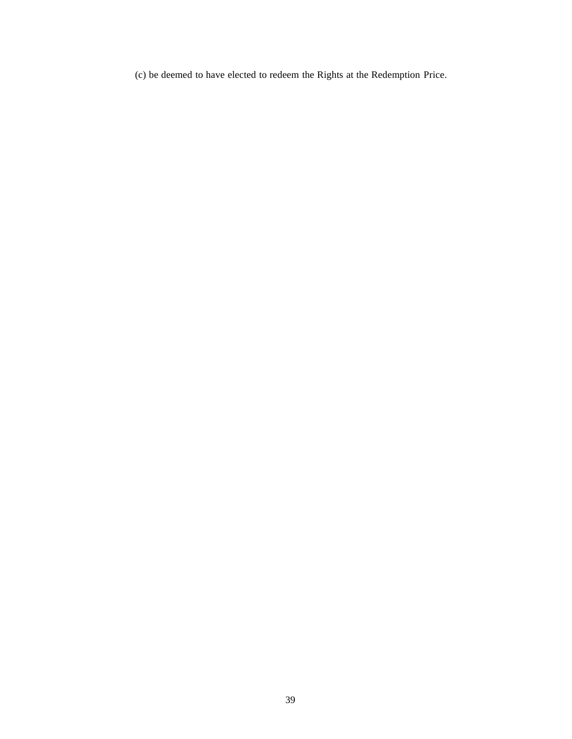(c) be deemed to have elected to redeem the Rights at the Redemption Price.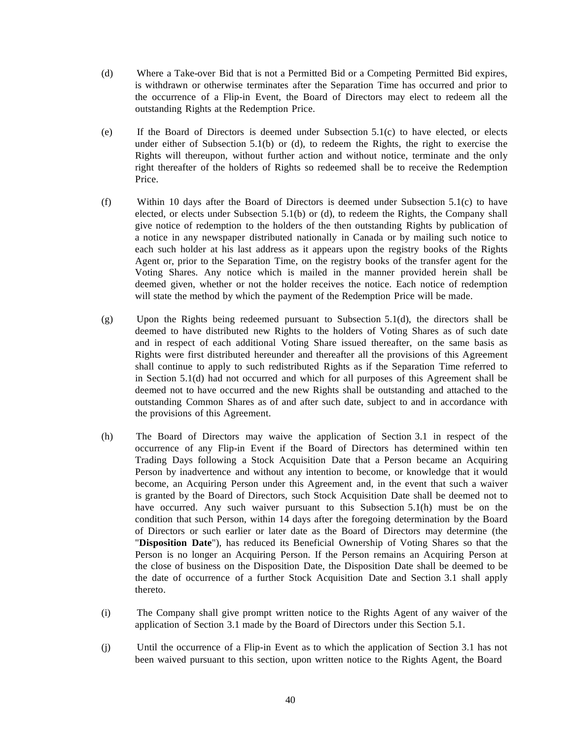- (d) Where a Take-over Bid that is not a Permitted Bid or a Competing Permitted Bid expires, is withdrawn or otherwise terminates after the Separation Time has occurred and prior to the occurrence of a Flip-in Event, the Board of Directors may elect to redeem all the outstanding Rights at the Redemption Price.
- (e) If the Board of Directors is deemed under Subsection 5.1(c) to have elected, or elects under either of Subsection 5.1(b) or (d), to redeem the Rights, the right to exercise the Rights will thereupon, without further action and without notice, terminate and the only right thereafter of the holders of Rights so redeemed shall be to receive the Redemption Price.
- (f) Within 10 days after the Board of Directors is deemed under Subsection 5.1(c) to have elected, or elects under Subsection 5.1(b) or (d), to redeem the Rights, the Company shall give notice of redemption to the holders of the then outstanding Rights by publication of a notice in any newspaper distributed nationally in Canada or by mailing such notice to each such holder at his last address as it appears upon the registry books of the Rights Agent or, prior to the Separation Time, on the registry books of the transfer agent for the Voting Shares. Any notice which is mailed in the manner provided herein shall be deemed given, whether or not the holder receives the notice. Each notice of redemption will state the method by which the payment of the Redemption Price will be made.
- (g) Upon the Rights being redeemed pursuant to Subsection 5.1(d), the directors shall be deemed to have distributed new Rights to the holders of Voting Shares as of such date and in respect of each additional Voting Share issued thereafter, on the same basis as Rights were first distributed hereunder and thereafter all the provisions of this Agreement shall continue to apply to such redistributed Rights as if the Separation Time referred to in Section 5.1(d) had not occurred and which for all purposes of this Agreement shall be deemed not to have occurred and the new Rights shall be outstanding and attached to the outstanding Common Shares as of and after such date, subject to and in accordance with the provisions of this Agreement.
- (h) The Board of Directors may waive the application of Section 3.1 in respect of the occurrence of any Flip-in Event if the Board of Directors has determined within ten Trading Days following a Stock Acquisition Date that a Person became an Acquiring Person by inadvertence and without any intention to become, or knowledge that it would become, an Acquiring Person under this Agreement and, in the event that such a waiver is granted by the Board of Directors, such Stock Acquisition Date shall be deemed not to have occurred. Any such waiver pursuant to this Subsection 5.1(h) must be on the condition that such Person, within 14 days after the foregoing determination by the Board of Directors or such earlier or later date as the Board of Directors may determine (the "**Disposition Date**"), has reduced its Beneficial Ownership of Voting Shares so that the Person is no longer an Acquiring Person. If the Person remains an Acquiring Person at the close of business on the Disposition Date, the Disposition Date shall be deemed to be the date of occurrence of a further Stock Acquisition Date and Section 3.1 shall apply thereto.
- (i) The Company shall give prompt written notice to the Rights Agent of any waiver of the application of Section 3.1 made by the Board of Directors under this Section 5.1.
- (j) Until the occurrence of a Flip-in Event as to which the application of Section 3.1 has not been waived pursuant to this section, upon written notice to the Rights Agent, the Board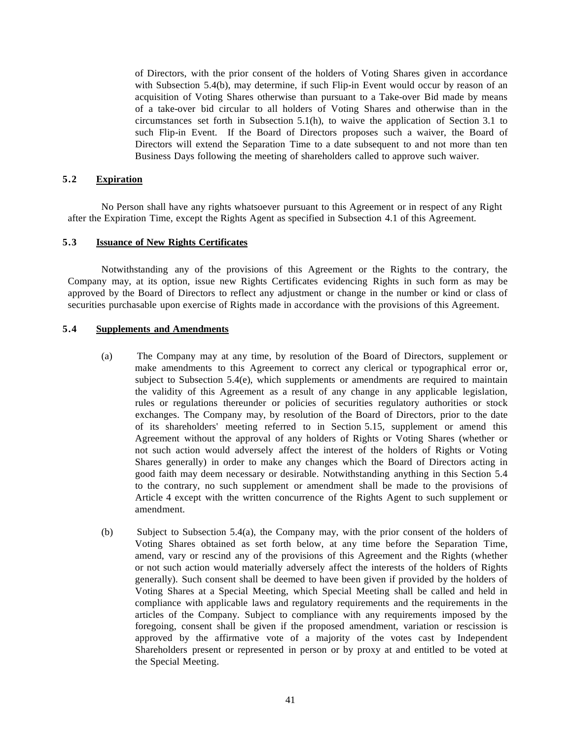of Directors, with the prior consent of the holders of Voting Shares given in accordance with Subsection 5.4(b), may determine, if such Flip-in Event would occur by reason of an acquisition of Voting Shares otherwise than pursuant to a Take-over Bid made by means of a take-over bid circular to all holders of Voting Shares and otherwise than in the circumstances set forth in Subsection 5.1(h), to waive the application of Section 3.1 to such Flip-in Event. If the Board of Directors proposes such a waiver, the Board of Directors will extend the Separation Time to a date subsequent to and not more than ten Business Days following the meeting of shareholders called to approve such waiver.

#### <span id="page-40-0"></span>**5.2 Expiration**

No Person shall have any rights whatsoever pursuant to this Agreement or in respect of any Right after the Expiration Time, except the Rights Agent as specified in Subsection 4.1 of this Agreement.

## <span id="page-40-1"></span>**5.3 Issuance of New Rights Certificates**

Notwithstanding any of the provisions of this Agreement or the Rights to the contrary, the Company may, at its option, issue new Rights Certificates evidencing Rights in such form as may be approved by the Board of Directors to reflect any adjustment or change in the number or kind or class of securities purchasable upon exercise of Rights made in accordance with the provisions of this Agreement.

## <span id="page-40-2"></span>**5.4 Supplements and Amendments**

- (a) The Company may at any time, by resolution of the Board of Directors, supplement or make amendments to this Agreement to correct any clerical or typographical error or, subject to Subsection 5.4(e), which supplements or amendments are required to maintain the validity of this Agreement as a result of any change in any applicable legislation, rules or regulations thereunder or policies of securities regulatory authorities or stock exchanges. The Company may, by resolution of the Board of Directors, prior to the date of its shareholders' meeting referred to in Section 5.15, supplement or amend this Agreement without the approval of any holders of Rights or Voting Shares (whether or not such action would adversely affect the interest of the holders of Rights or Voting Shares generally) in order to make any changes which the Board of Directors acting in good faith may deem necessary or desirable. Notwithstanding anything in this Section 5.4 to the contrary, no such supplement or amendment shall be made to the provisions of Article 4 except with the written concurrence of the Rights Agent to such supplement or amendment.
- (b) Subject to Subsection 5.4(a), the Company may, with the prior consent of the holders of Voting Shares obtained as set forth below, at any time before the Separation Time, amend, vary or rescind any of the provisions of this Agreement and the Rights (whether or not such action would materially adversely affect the interests of the holders of Rights generally). Such consent shall be deemed to have been given if provided by the holders of Voting Shares at a Special Meeting, which Special Meeting shall be called and held in compliance with applicable laws and regulatory requirements and the requirements in the articles of the Company. Subject to compliance with any requirements imposed by the foregoing, consent shall be given if the proposed amendment, variation or rescission is approved by the affirmative vote of a majority of the votes cast by Independent Shareholders present or represented in person or by proxy at and entitled to be voted at the Special Meeting.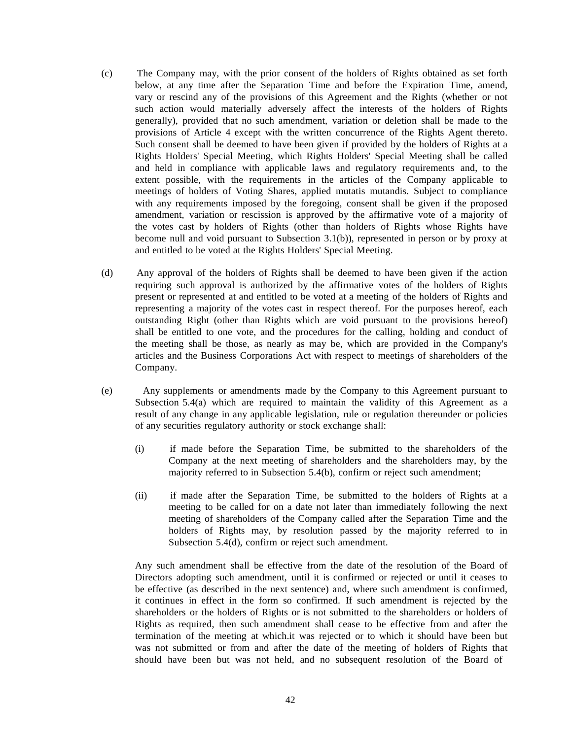- (c) The Company may, with the prior consent of the holders of Rights obtained as set forth below, at any time after the Separation Time and before the Expiration Time, amend, vary or rescind any of the provisions of this Agreement and the Rights (whether or not such action would materially adversely affect the interests of the holders of Rights generally), provided that no such amendment, variation or deletion shall be made to the provisions of Article 4 except with the written concurrence of the Rights Agent thereto. Such consent shall be deemed to have been given if provided by the holders of Rights at a Rights Holders' Special Meeting, which Rights Holders' Special Meeting shall be called and held in compliance with applicable laws and regulatory requirements and, to the extent possible, with the requirements in the articles of the Company applicable to meetings of holders of Voting Shares, applied mutatis mutandis. Subject to compliance with any requirements imposed by the foregoing, consent shall be given if the proposed amendment, variation or rescission is approved by the affirmative vote of a majority of the votes cast by holders of Rights (other than holders of Rights whose Rights have become null and void pursuant to Subsection 3.1(b)), represented in person or by proxy at and entitled to be voted at the Rights Holders' Special Meeting.
- (d) Any approval of the holders of Rights shall be deemed to have been given if the action requiring such approval is authorized by the affirmative votes of the holders of Rights present or represented at and entitled to be voted at a meeting of the holders of Rights and representing a majority of the votes cast in respect thereof. For the purposes hereof, each outstanding Right (other than Rights which are void pursuant to the provisions hereof) shall be entitled to one vote, and the procedures for the calling, holding and conduct of the meeting shall be those, as nearly as may be, which are provided in the Company's articles and the Business Corporations Act with respect to meetings of shareholders of the Company.
- (e) Any supplements or amendments made by the Company to this Agreement pursuant to Subsection 5.4(a) which are required to maintain the validity of this Agreement as a result of any change in any applicable legislation, rule or regulation thereunder or policies of any securities regulatory authority or stock exchange shall:
	- (i) if made before the Separation Time, be submitted to the shareholders of the Company at the next meeting of shareholders and the shareholders may, by the majority referred to in Subsection 5.4(b), confirm or reject such amendment;
	- (ii) if made after the Separation Time, be submitted to the holders of Rights at a meeting to be called for on a date not later than immediately following the next meeting of shareholders of the Company called after the Separation Time and the holders of Rights may, by resolution passed by the majority referred to in Subsection 5.4(d), confirm or reject such amendment.

Any such amendment shall be effective from the date of the resolution of the Board of Directors adopting such amendment, until it is confirmed or rejected or until it ceases to be effective (as described in the next sentence) and, where such amendment is confirmed, it continues in effect in the form so confirmed. If such amendment is rejected by the shareholders or the holders of Rights or is not submitted to the shareholders or holders of Rights as required, then such amendment shall cease to be effective from and after the termination of the meeting at which.it was rejected or to which it should have been but was not submitted or from and after the date of the meeting of holders of Rights that should have been but was not held, and no subsequent resolution of the Board of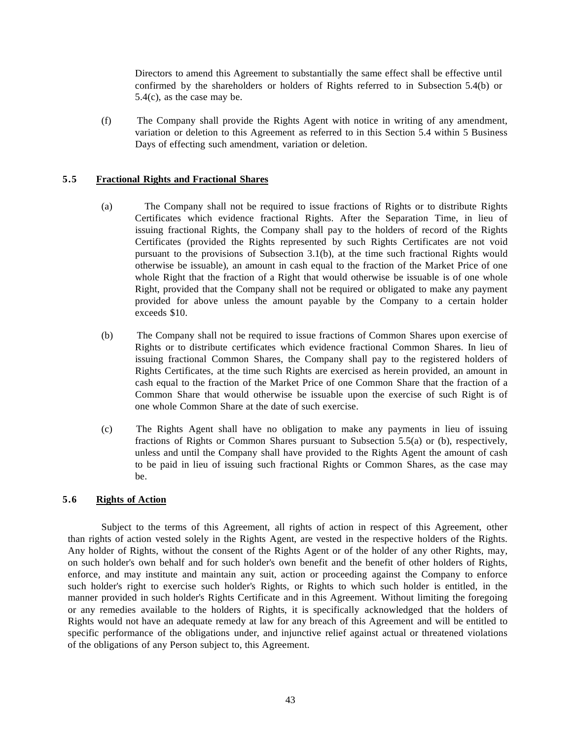Directors to amend this Agreement to substantially the same effect shall be effective until confirmed by the shareholders or holders of Rights referred to in Subsection 5.4(b) or 5.4(c), as the case may be.

(f) The Company shall provide the Rights Agent with notice in writing of any amendment, variation or deletion to this Agreement as referred to in this Section 5.4 within 5 Business Days of effecting such amendment, variation or deletion.

## <span id="page-42-0"></span>**5.5 Fractional Rights and Fractional Shares**

- (a) The Company shall not be required to issue fractions of Rights or to distribute Rights Certificates which evidence fractional Rights. After the Separation Time, in lieu of issuing fractional Rights, the Company shall pay to the holders of record of the Rights Certificates (provided the Rights represented by such Rights Certificates are not void pursuant to the provisions of Subsection 3.1(b), at the time such fractional Rights would otherwise be issuable), an amount in cash equal to the fraction of the Market Price of one whole Right that the fraction of a Right that would otherwise be issuable is of one whole Right, provided that the Company shall not be required or obligated to make any payment provided for above unless the amount payable by the Company to a certain holder exceeds \$10.
- (b) The Company shall not be required to issue fractions of Common Shares upon exercise of Rights or to distribute certificates which evidence fractional Common Shares. In lieu of issuing fractional Common Shares, the Company shall pay to the registered holders of Rights Certificates, at the time such Rights are exercised as herein provided, an amount in cash equal to the fraction of the Market Price of one Common Share that the fraction of a Common Share that would otherwise be issuable upon the exercise of such Right is of one whole Common Share at the date of such exercise.
- (c) The Rights Agent shall have no obligation to make any payments in lieu of issuing fractions of Rights or Common Shares pursuant to Subsection 5.5(a) or (b), respectively, unless and until the Company shall have provided to the Rights Agent the amount of cash to be paid in lieu of issuing such fractional Rights or Common Shares, as the case may be.

## <span id="page-42-1"></span>**5.6 Rights of Action**

Subject to the terms of this Agreement, all rights of action in respect of this Agreement, other than rights of action vested solely in the Rights Agent, are vested in the respective holders of the Rights. Any holder of Rights, without the consent of the Rights Agent or of the holder of any other Rights, may, on such holder's own behalf and for such holder's own benefit and the benefit of other holders of Rights, enforce, and may institute and maintain any suit, action or proceeding against the Company to enforce such holder's right to exercise such holder's Rights, or Rights to which such holder is entitled, in the manner provided in such holder's Rights Certificate and in this Agreement. Without limiting the foregoing or any remedies available to the holders of Rights, it is specifically acknowledged that the holders of Rights would not have an adequate remedy at law for any breach of this Agreement and will be entitled to specific performance of the obligations under, and injunctive relief against actual or threatened violations of the obligations of any Person subject to, this Agreement.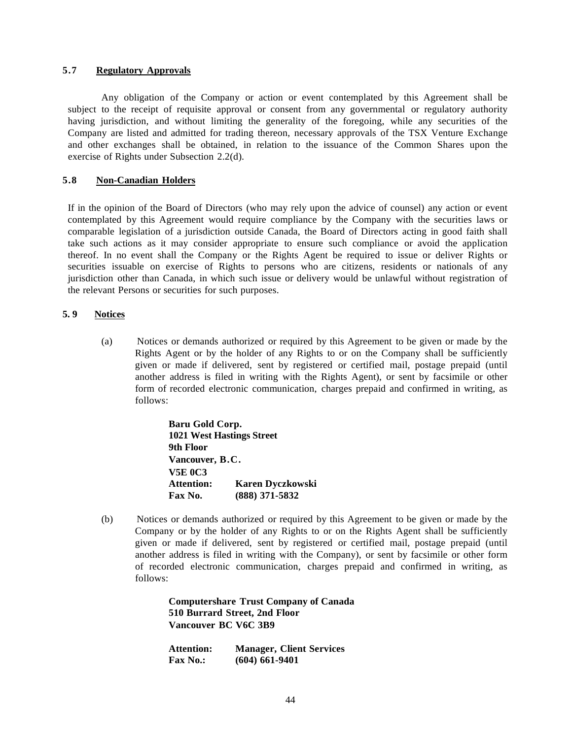#### <span id="page-43-0"></span>**5.7 Regulatory Approvals**

Any obligation of the Company or action or event contemplated by this Agreement shall be subject to the receipt of requisite approval or consent from any governmental or regulatory authority having jurisdiction, and without limiting the generality of the foregoing, while any securities of the Company are listed and admitted for trading thereon, necessary approvals of the TSX Venture Exchange and other exchanges shall be obtained, in relation to the issuance of the Common Shares upon the exercise of Rights under Subsection 2.2(d).

#### <span id="page-43-1"></span>**5.8 Non-Canadian Holders**

If in the opinion of the Board of Directors (who may rely upon the advice of counsel) any action or event contemplated by this Agreement would require compliance by the Company with the securities laws or comparable legislation of a jurisdiction outside Canada, the Board of Directors acting in good faith shall take such actions as it may consider appropriate to ensure such compliance or avoid the application thereof. In no event shall the Company or the Rights Agent be required to issue or deliver Rights or securities issuable on exercise of Rights to persons who are citizens, residents or nationals of any jurisdiction other than Canada, in which such issue or delivery would be unlawful without registration of the relevant Persons or securities for such purposes.

## <span id="page-43-2"></span>**5. 9 Notices**

(a) Notices or demands authorized or required by this Agreement to be given or made by the Rights Agent or by the holder of any Rights to or on the Company shall be sufficiently given or made if delivered, sent by registered or certified mail, postage prepaid (until another address is filed in writing with the Rights Agent), or sent by facsimile or other form of recorded electronic communication, charges prepaid and confirmed in writing, as follows:

> **Baru Gold Corp. 1021 West Hastings Street 9th Floor Vancouver, B.C. V5E 0C3 Attention: Karen Dyczkowski Fax No. (888) 371-5832**

(b) Notices or demands authorized or required by this Agreement to be given or made by the Company or by the holder of any Rights to or on the Rights Agent shall be sufficiently given or made if delivered, sent by registered or certified mail, postage prepaid (until another address is filed in writing with the Company), or sent by facsimile or other form of recorded electronic communication, charges prepaid and confirmed in writing, as follows:

> **Computershare Trust Company of Canada 510 Burrard Street, 2nd Floor Vancouver BC V6C 3B9**

| <b>Attention:</b> | <b>Manager, Client Services</b> |
|-------------------|---------------------------------|
| <b>Fax No.:</b>   | $(604) 661-9401$                |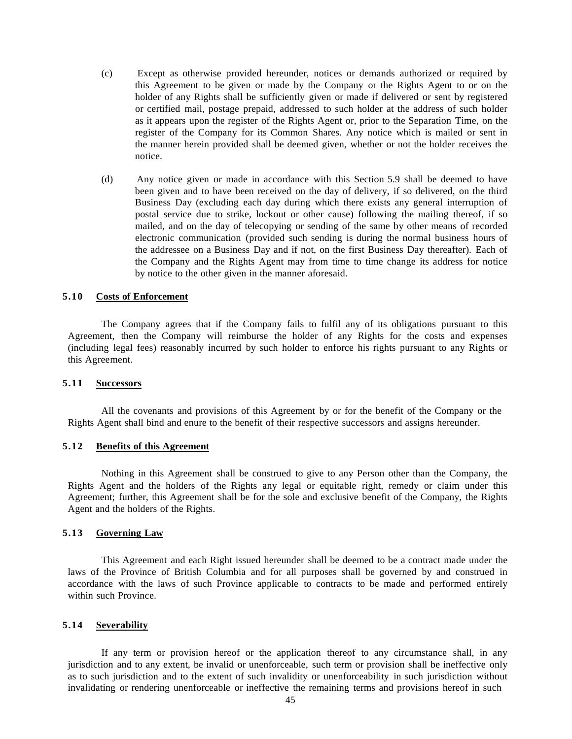- (c) Except as otherwise provided hereunder, notices or demands authorized or required by this Agreement to be given or made by the Company or the Rights Agent to or on the holder of any Rights shall be sufficiently given or made if delivered or sent by registered or certified mail, postage prepaid, addressed to such holder at the address of such holder as it appears upon the register of the Rights Agent or, prior to the Separation Time, on the register of the Company for its Common Shares. Any notice which is mailed or sent in the manner herein provided shall be deemed given, whether or not the holder receives the notice.
- (d) Any notice given or made in accordance with this Section 5.9 shall be deemed to have been given and to have been received on the day of delivery, if so delivered, on the third Business Day (excluding each day during which there exists any general interruption of postal service due to strike, lockout or other cause) following the mailing thereof, if so mailed, and on the day of telecopying or sending of the same by other means of recorded electronic communication (provided such sending is during the normal business hours of the addressee on a Business Day and if not, on the first Business Day thereafter). Each of the Company and the Rights Agent may from time to time change its address for notice by notice to the other given in the manner aforesaid.

#### <span id="page-44-0"></span>**5.10 Costs of Enforcement**

The Company agrees that if the Company fails to fulfil any of its obligations pursuant to this Agreement, then the Company will reimburse the holder of any Rights for the costs and expenses (including legal fees) reasonably incurred by such holder to enforce his rights pursuant to any Rights or this Agreement.

#### <span id="page-44-1"></span>**5.11 Successors**

All the covenants and provisions of this Agreement by or for the benefit of the Company or the Rights Agent shall bind and enure to the benefit of their respective successors and assigns hereunder.

#### <span id="page-44-2"></span>**5.12 Benefits of this Agreement**

Nothing in this Agreement shall be construed to give to any Person other than the Company, the Rights Agent and the holders of the Rights any legal or equitable right, remedy or claim under this Agreement; further, this Agreement shall be for the sole and exclusive benefit of the Company, the Rights Agent and the holders of the Rights.

#### <span id="page-44-3"></span>**5.13 Governing Law**

This Agreement and each Right issued hereunder shall be deemed to be a contract made under the laws of the Province of British Columbia and for all purposes shall be governed by and construed in accordance with the laws of such Province applicable to contracts to be made and performed entirely within such Province.

#### <span id="page-44-4"></span>**5.14 Severability**

If any term or provision hereof or the application thereof to any circumstance shall, in any jurisdiction and to any extent, be invalid or unenforceable, such term or provision shall be ineffective only as to such jurisdiction and to the extent of such invalidity or unenforceability in such jurisdiction without invalidating or rendering unenforceable or ineffective the remaining terms and provisions hereof in such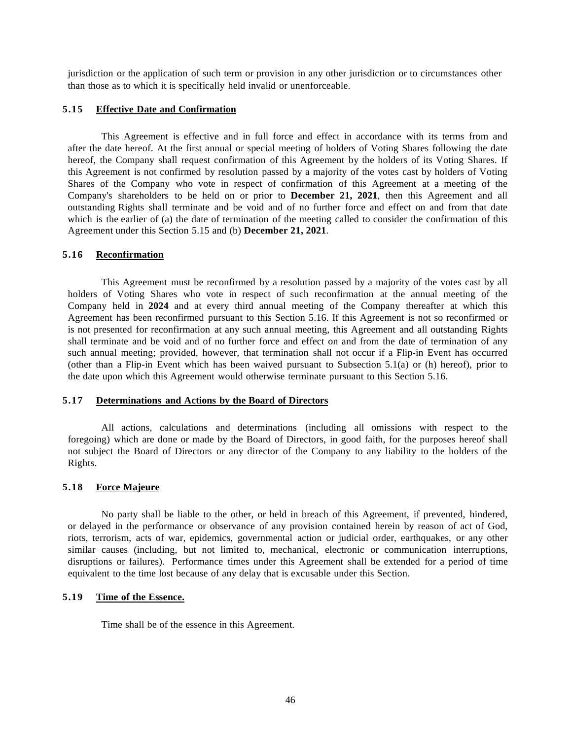jurisdiction or the application of such term or provision in any other jurisdiction or to circumstances other than those as to which it is specifically held invalid or unenforceable.

#### <span id="page-45-0"></span>**5.15 Effective Date and Confirmation**

This Agreement is effective and in full force and effect in accordance with its terms from and after the date hereof. At the first annual or special meeting of holders of Voting Shares following the date hereof, the Company shall request confirmation of this Agreement by the holders of its Voting Shares. If this Agreement is not confirmed by resolution passed by a majority of the votes cast by holders of Voting Shares of the Company who vote in respect of confirmation of this Agreement at a meeting of the Company's shareholders to be held on or prior to **December 21, 2021**, then this Agreement and all outstanding Rights shall terminate and be void and of no further force and effect on and from that date which is the earlier of (a) the date of termination of the meeting called to consider the confirmation of this Agreement under this Section 5.15 and (b) **December 21, 2021**.

## <span id="page-45-1"></span>**5.16 Reconfirmation**

This Agreement must be reconfirmed by a resolution passed by a majority of the votes cast by all holders of Voting Shares who vote in respect of such reconfirmation at the annual meeting of the Company held in **2024** and at every third annual meeting of the Company thereafter at which this Agreement has been reconfirmed pursuant to this Section 5.16. If this Agreement is not so reconfirmed or is not presented for reconfirmation at any such annual meeting, this Agreement and all outstanding Rights shall terminate and be void and of no further force and effect on and from the date of termination of any such annual meeting; provided, however, that termination shall not occur if a Flip-in Event has occurred (other than a Flip-in Event which has been waived pursuant to Subsection 5.1(a) or (h) hereof), prior to the date upon which this Agreement would otherwise terminate pursuant to this Section 5.16.

## <span id="page-45-2"></span>**5.17 Determinations and Actions by the Board of Directors**

All actions, calculations and determinations (including all omissions with respect to the foregoing) which are done or made by the Board of Directors, in good faith, for the purposes hereof shall not subject the Board of Directors or any director of the Company to any liability to the holders of the Rights.

#### <span id="page-45-3"></span>**5.18 Force Majeure**

No party shall be liable to the other, or held in breach of this Agreement, if prevented, hindered, or delayed in the performance or observance of any provision contained herein by reason of act of God, riots, terrorism, acts of war, epidemics, governmental action or judicial order, earthquakes, or any other similar causes (including, but not limited to, mechanical, electronic or communication interruptions, disruptions or failures). Performance times under this Agreement shall be extended for a period of time equivalent to the time lost because of any delay that is excusable under this Section.

#### <span id="page-45-4"></span>**5.19 Time of the Essence.**

Time shall be of the essence in this Agreement.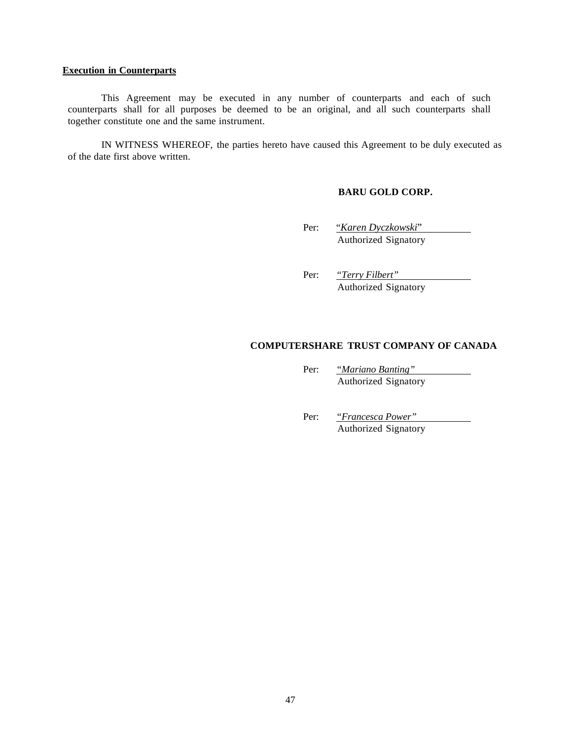#### <span id="page-46-0"></span>**Execution in Counterparts**

This Agreement may be executed in any number of counterparts and each of such counterparts shall for all purposes be deemed to be an original, and all such counterparts shall together constitute one and the same instrument.

IN WITNESS WHEREOF, the parties hereto have caused this Agreement to be duly executed as of the date first above written.

## **BARU GOLD CORP.**

Per: "*Karen Dyczkowski*" Authorized Signatory

Per: *"Terry Filbert"* Authorized Signatory

## **COMPUTERSHARE TRUST COMPANY OF CANADA**

Per: *"Mariano Banting"* Authorized Signatory

Per: *"Francesca Power"* Authorized Signatory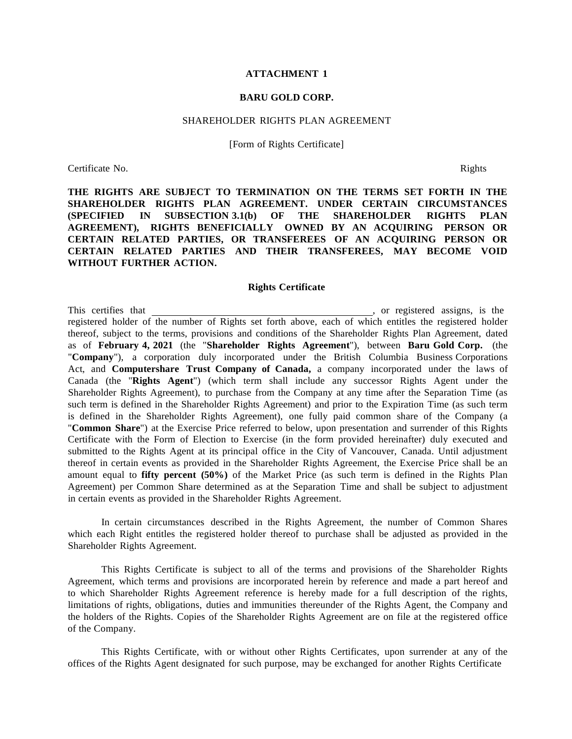#### **ATTACHMENT 1**

### **BARU GOLD CORP.**

#### SHAREHOLDER RIGHTS PLAN AGREEMENT

[Form of Rights Certificate]

Certificate No. Rights

**THE RIGHTS ARE SUBJECT TO TERMINATION ON THE TERMS SET FORTH IN THE SHAREHOLDER RIGHTS PLAN AGREEMENT. UNDER CERTAIN CIRCUMSTANCES (SPECIFIED IN SUBSECTION 3.1(b) OF THE SHAREHOLDER RIGHTS PLAN AGREEMENT), RIGHTS BENEFICIALLY OWNED BY AN ACQUIRING PERSON OR CERTAIN RELATED PARTIES, OR TRANSFEREES OF AN ACQUIRING PERSON OR CERTAIN RELATED PARTIES AND THEIR TRANSFEREES, MAY BECOME VOID WITHOUT FURTHER ACTION.**

#### **Rights Certificate**

This certifies that , or registered assigns, is the registered holder of the number of Rights set forth above, each of which entitles the registered holder thereof, subject to the terms, provisions and conditions of the Shareholder Rights Plan Agreement, dated as of **February 4, 2021** (the "**Shareholder Rights Agreement**"), between **Baru Gold Corp.** (the "**Company**"), a corporation duly incorporated under the British Columbia Business Corporations Act, and **Computershare Trust Company of Canada,** a company incorporated under the laws of Canada (the "**Rights Agent**") (which term shall include any successor Rights Agent under the Shareholder Rights Agreement), to purchase from the Company at any time after the Separation Time (as such term is defined in the Shareholder Rights Agreement) and prior to the Expiration Time (as such term is defined in the Shareholder Rights Agreement), one fully paid common share of the Company (a "**Common Share**") at the Exercise Price referred to below, upon presentation and surrender of this Rights Certificate with the Form of Election to Exercise (in the form provided hereinafter) duly executed and submitted to the Rights Agent at its principal office in the City of Vancouver, Canada. Until adjustment thereof in certain events as provided in the Shareholder Rights Agreement, the Exercise Price shall be an amount equal to **fifty percent (50%)** of the Market Price (as such term is defined in the Rights Plan Agreement) per Common Share determined as at the Separation Time and shall be subject to adjustment in certain events as provided in the Shareholder Rights Agreement.

In certain circumstances described in the Rights Agreement, the number of Common Shares which each Right entitles the registered holder thereof to purchase shall be adjusted as provided in the Shareholder Rights Agreement.

This Rights Certificate is subject to all of the terms and provisions of the Shareholder Rights Agreement, which terms and provisions are incorporated herein by reference and made a part hereof and to which Shareholder Rights Agreement reference is hereby made for a full description of the rights, limitations of rights, obligations, duties and immunities thereunder of the Rights Agent, the Company and the holders of the Rights. Copies of the Shareholder Rights Agreement are on file at the registered office of the Company.

This Rights Certificate, with or without other Rights Certificates, upon surrender at any of the offices of the Rights Agent designated for such purpose, may be exchanged for another Rights Certificate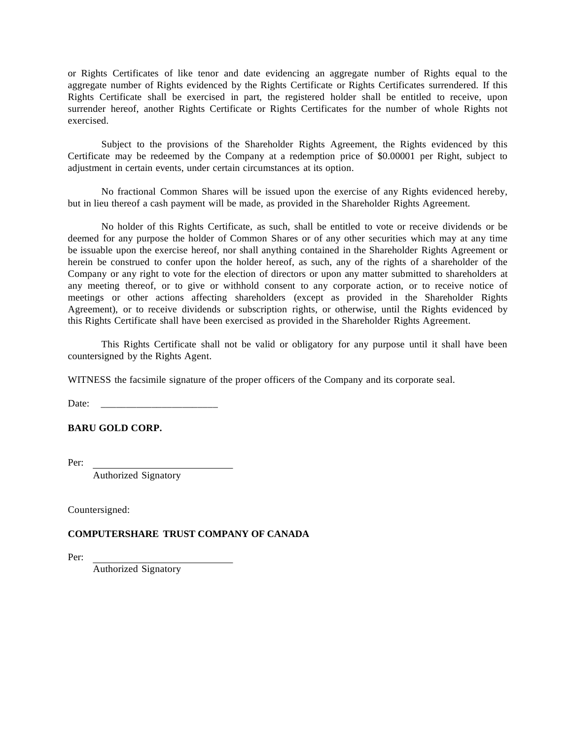or Rights Certificates of like tenor and date evidencing an aggregate number of Rights equal to the aggregate number of Rights evidenced by the Rights Certificate or Rights Certificates surrendered. If this Rights Certificate shall be exercised in part, the registered holder shall be entitled to receive, upon surrender hereof, another Rights Certificate or Rights Certificates for the number of whole Rights not exercised.

Subject to the provisions of the Shareholder Rights Agreement, the Rights evidenced by this Certificate may be redeemed by the Company at a redemption price of \$0.00001 per Right, subject to adjustment in certain events, under certain circumstances at its option.

No fractional Common Shares will be issued upon the exercise of any Rights evidenced hereby, but in lieu thereof a cash payment will be made, as provided in the Shareholder Rights Agreement.

No holder of this Rights Certificate, as such, shall be entitled to vote or receive dividends or be deemed for any purpose the holder of Common Shares or of any other securities which may at any time be issuable upon the exercise hereof, nor shall anything contained in the Shareholder Rights Agreement or herein be construed to confer upon the holder hereof, as such, any of the rights of a shareholder of the Company or any right to vote for the election of directors or upon any matter submitted to shareholders at any meeting thereof, or to give or withhold consent to any corporate action, or to receive notice of meetings or other actions affecting shareholders (except as provided in the Shareholder Rights Agreement), or to receive dividends or subscription rights, or otherwise, until the Rights evidenced by this Rights Certificate shall have been exercised as provided in the Shareholder Rights Agreement.

This Rights Certificate shall not be valid or obligatory for any purpose until it shall have been countersigned by the Rights Agent.

WITNESS the facsimile signature of the proper officers of the Company and its corporate seal.

Date:

## **BARU GOLD CORP.**

Per:

Authorized Signatory

Countersigned:

## **COMPUTERSHARE TRUST COMPANY OF CANADA**

Per:

Authorized Signatory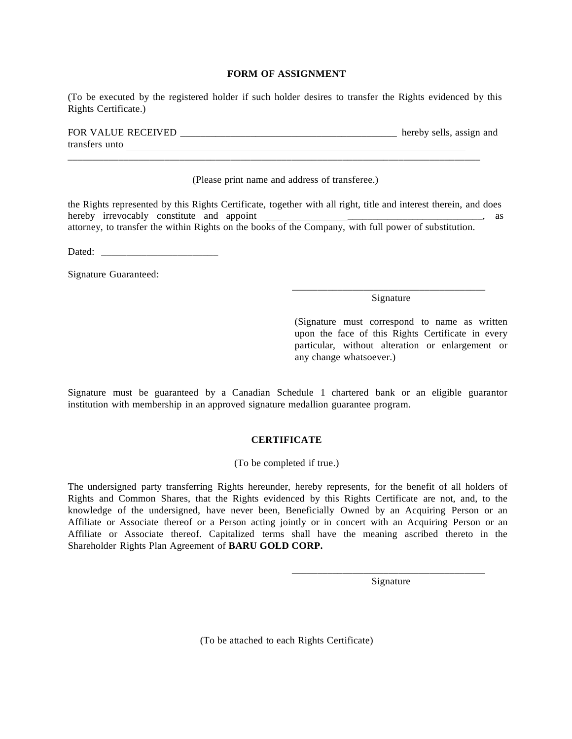## **FORM OF ASSIGNMENT**

(To be executed by the registered holder if such holder desires to transfer the Rights evidenced by this Rights Certificate.)

| <b>FOR VALUE RECEIVED</b> |  |  | hereby sells, assign and |  |
|---------------------------|--|--|--------------------------|--|
| transfers unto            |  |  |                          |  |
|                           |  |  |                          |  |

(Please print name and address of transferee.)

the Rights represented by this Rights Certificate, together with all right, title and interest therein, and does hereby irrevocably constitute and appoint  $\blacksquare$ attorney, to transfer the within Rights on the books of the Company, with full power of substitution.

Dated:

Signature Guaranteed:

#### \_\_\_\_\_\_\_\_\_\_\_\_\_\_\_\_\_\_\_\_\_\_\_\_\_\_\_\_\_\_\_\_\_\_\_\_\_\_ Signature

(Signature must correspond to name as written upon the face of this Rights Certificate in every particular, without alteration or enlargement or any change whatsoever.)

Signature must be guaranteed by a Canadian Schedule 1 chartered bank or an eligible guarantor institution with membership in an approved signature medallion guarantee program.

## **CERTIFICATE**

(To be completed if true.)

The undersigned party transferring Rights hereunder, hereby represents, for the benefit of all holders of Rights and Common Shares, that the Rights evidenced by this Rights Certificate are not, and, to the knowledge of the undersigned, have never been, Beneficially Owned by an Acquiring Person or an Affiliate or Associate thereof or a Person acting jointly or in concert with an Acquiring Person or an Affiliate or Associate thereof. Capitalized terms shall have the meaning ascribed thereto in the Shareholder Rights Plan Agreement of **BARU GOLD CORP.**

> \_\_\_\_\_\_\_\_\_\_\_\_\_\_\_\_\_\_\_\_\_\_\_\_\_\_\_\_\_\_\_\_\_\_\_\_\_\_ Signature

(To be attached to each Rights Certificate)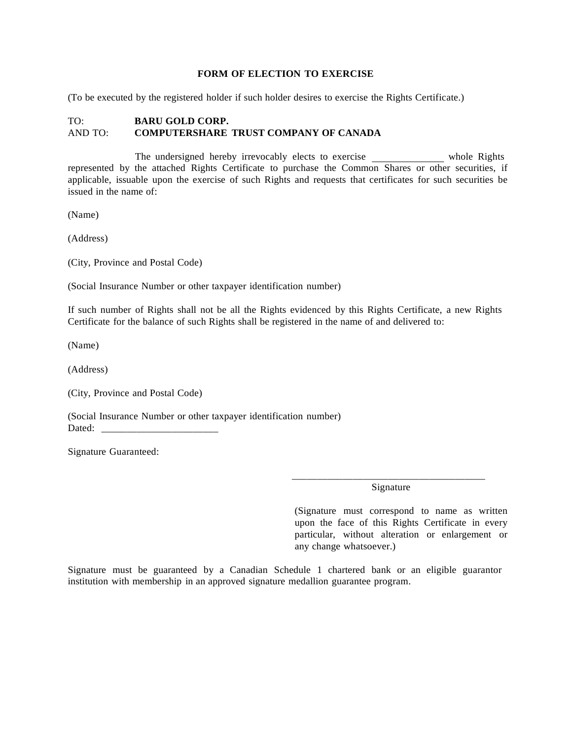#### **FORM OF ELECTION TO EXERCISE**

(To be executed by the registered holder if such holder desires to exercise the Rights Certificate.)

## TO: **BARU GOLD CORP.** AND TO: **COMPUTERSHARE TRUST COMPANY OF CANADA**

The undersigned hereby irrevocably elects to exercise whole Rights represented by the attached Rights Certificate to purchase the Common Shares or other securities, if applicable, issuable upon the exercise of such Rights and requests that certificates for such securities be issued in the name of:

(Name)

(Address)

(City, Province and Postal Code)

(Social Insurance Number or other taxpayer identification number)

If such number of Rights shall not be all the Rights evidenced by this Rights Certificate, a new Rights Certificate for the balance of such Rights shall be registered in the name of and delivered to:

(Name)

(Address)

(City, Province and Postal Code)

(Social Insurance Number or other taxpayer identification number) Dated:

Signature Guaranteed:

\_\_\_\_\_\_\_\_\_\_\_\_\_\_\_\_\_\_\_\_\_\_\_\_\_\_\_\_\_\_\_\_\_\_\_\_\_\_ Signature

(Signature must correspond to name as written upon the face of this Rights Certificate in every particular, without alteration or enlargement or any change whatsoever.)

Signature must be guaranteed by a Canadian Schedule 1 chartered bank or an eligible guarantor institution with membership in an approved signature medallion guarantee program.